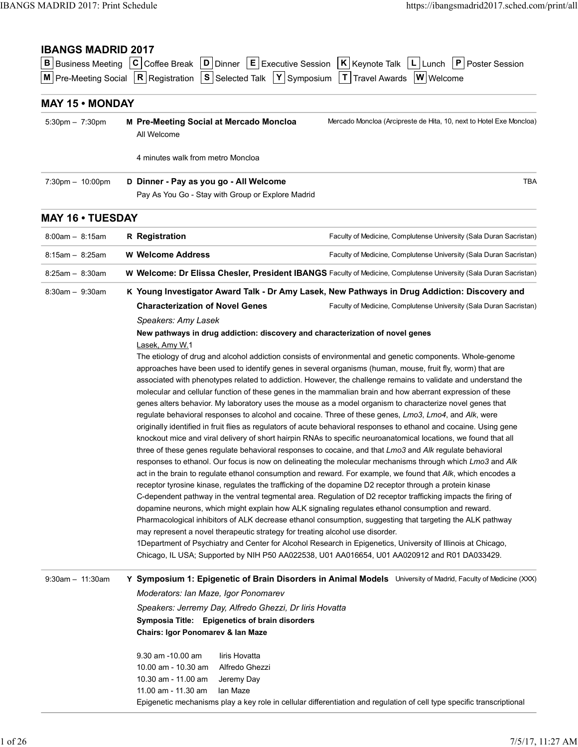# IBANGS MADRID 2017

| <b>IBANGS MADRID 2017: Print Schedule</b> |                                                                                                                                                                                                                                                                                                                                          |                                                                     |
|-------------------------------------------|------------------------------------------------------------------------------------------------------------------------------------------------------------------------------------------------------------------------------------------------------------------------------------------------------------------------------------------|---------------------------------------------------------------------|
|                                           |                                                                                                                                                                                                                                                                                                                                          |                                                                     |
|                                           |                                                                                                                                                                                                                                                                                                                                          | https://ibangsmadrid2017.sched.com/print/all                        |
| <b>IBANGS MADRID 2017</b>                 | <b>B</b> Business Meeting $ C $ Coffee Break $ D $ Dinner $ E $ Executive Session $ K $ Keynote Talk $ L $ Lunch $ P $ Poster Session<br>$\boxed{\text{M}}$ Pre-Meeting Social $\boxed{\text{R}}$ Registration $\boxed{\text{S}}$ Selected Talk $\boxed{\text{Y}}$ Symposium $\boxed{\text{T}}$ Travel Awards $\boxed{\text{W}}$ Welcome |                                                                     |
| <b>MAY 15 • MONDAY</b>                    |                                                                                                                                                                                                                                                                                                                                          |                                                                     |
| $5:30 \text{pm} - 7:30 \text{pm}$         | M Pre-Meeting Social at Mercado Moncloa<br>All Welcome                                                                                                                                                                                                                                                                                   | Mercado Moncloa (Arcipreste de Hita, 10, next to Hotel Exe Moncloa) |
|                                           | 4 minutes walk from metro Moncloa                                                                                                                                                                                                                                                                                                        |                                                                     |
| 7:30pm - 10:00pm                          | D Dinner - Pay as you go - All Welcome<br>Pay As You Go - Stay with Group or Explore Madrid                                                                                                                                                                                                                                              | <b>TBA</b>                                                          |
| <b>MAY 16 • TUESDAY</b>                   |                                                                                                                                                                                                                                                                                                                                          |                                                                     |
| $8:00am - 8:15am$                         | <b>R</b> Registration                                                                                                                                                                                                                                                                                                                    | Faculty of Medicine, Complutense University (Sala Duran Sacristan)  |
| $8:15am - 8:25am$                         | W Welcome Address                                                                                                                                                                                                                                                                                                                        | Faculty of Medicine, Complutense University (Sala Duran Sacristan)  |
| $8:25am - 8:30am$                         | W Welcome: Dr Elissa Chesler, President IBANGS Faculty of Medicine, Complutense University (Sala Duran Sacristan)                                                                                                                                                                                                                        |                                                                     |
| 8:30am - 9:30am                           | K Young Investigator Award Talk - Dr Amy Lasek, New Pathways in Drug Addiction: Discovery and<br><b>Characterization of Novel Genes</b>                                                                                                                                                                                                  | Faculty of Medicine, Complutense University (Sala Duran Sacristan)  |
|                                           | Speakers: Amy Lasek<br>New pathways in drug addiction: discovery and characterization of novel genes                                                                                                                                                                                                                                     |                                                                     |
|                                           | Lasek, Amy W.1                                                                                                                                                                                                                                                                                                                           |                                                                     |
|                                           | The etiology of drug and alcohol addiction consists of environmental and genetic components. Whole-genome<br>approaches have been used to identify genes in several organisms (human, mouse, fruit fly, worm) that are                                                                                                                   |                                                                     |
|                                           | associated with phenotypes related to addiction. However, the challenge remains to validate and understand the<br>molecular and cellular function of these genes in the mammalian brain and how aberrant expression of these                                                                                                             |                                                                     |
|                                           | genes alters behavior. My laboratory uses the mouse as a model organism to characterize novel genes that                                                                                                                                                                                                                                 |                                                                     |
|                                           | regulate behavioral responses to alcohol and cocaine. Three of these genes, Lmo3, Lmo4, and Alk, were<br>originally identified in fruit flies as regulators of acute behavioral responses to ethanol and cocaine. Using gene                                                                                                             |                                                                     |
|                                           | knockout mice and viral delivery of short hairpin RNAs to specific neuroanatomical locations, we found that all<br>three of these genes regulate behavioral responses to cocaine, and that Lmo3 and Alk regulate behavioral                                                                                                              |                                                                     |
|                                           | responses to ethanol. Our focus is now on delineating the molecular mechanisms through which Lmo3 and Alk                                                                                                                                                                                                                                |                                                                     |
|                                           | act in the brain to regulate ethanol consumption and reward. For example, we found that Alk, which encodes a<br>receptor tyrosine kinase, regulates the trafficking of the dopamine D2 receptor through a protein kinase                                                                                                                 |                                                                     |
|                                           | C-dependent pathway in the ventral tegmental area. Regulation of D2 receptor trafficking impacts the firing of<br>dopamine neurons, which might explain how ALK signaling regulates ethanol consumption and reward.                                                                                                                      |                                                                     |
|                                           | Pharmacological inhibitors of ALK decrease ethanol consumption, suggesting that targeting the ALK pathway                                                                                                                                                                                                                                |                                                                     |
|                                           | may represent a novel therapeutic strategy for treating alcohol use disorder.<br>1Department of Psychiatry and Center for Alcohol Research in Epigenetics, University of Illinois at Chicago,<br>Chicago, IL USA; Supported by NIH P50 AA022538, U01 AA016654, U01 AA020912 and R01 DA033429.                                            |                                                                     |
| 9:30am - 11:30am                          | Y Symposium 1: Epigenetic of Brain Disorders in Animal Models University of Madrid, Faculty of Medicine (XXX)                                                                                                                                                                                                                            |                                                                     |
|                                           | Moderators: Ian Maze, Igor Ponomarev                                                                                                                                                                                                                                                                                                     |                                                                     |
|                                           | Speakers: Jerremy Day, Alfredo Ghezzi, Dr liris Hovatta<br>Symposia Title: Epigenetics of brain disorders                                                                                                                                                                                                                                |                                                                     |
|                                           | Chairs: Igor Ponomarev & Ian Maze                                                                                                                                                                                                                                                                                                        |                                                                     |
|                                           | 9.30 am -10.00 am<br>liris Hovatta                                                                                                                                                                                                                                                                                                       |                                                                     |
|                                           | 10.00 am - 10.30 am<br>Alfredo Ghezzi<br>10.30 am - 11.00 am<br>Jeremy Day                                                                                                                                                                                                                                                               |                                                                     |
|                                           | 11.00 am - 11.30 am<br>lan Maze                                                                                                                                                                                                                                                                                                          |                                                                     |
|                                           |                                                                                                                                                                                                                                                                                                                                          |                                                                     |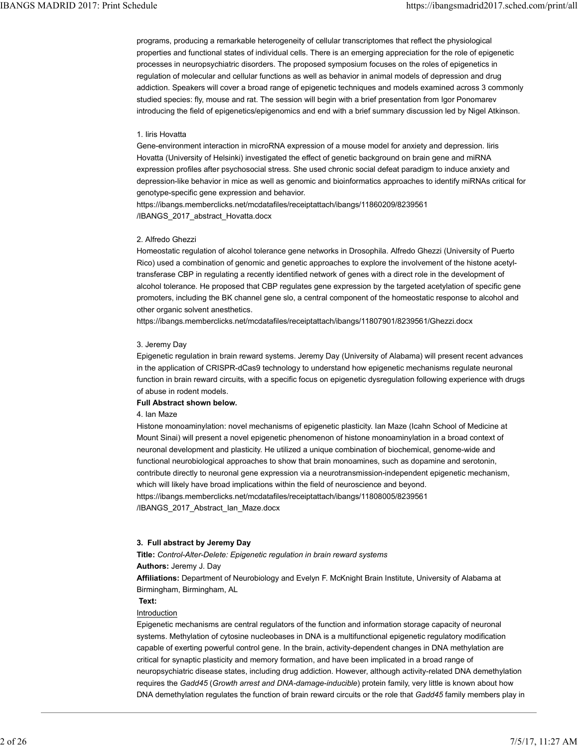programs, producing a remarkable heterogeneity of cellular transcriptomes that reflect the physiological properties and functional states of individual cells. There is an emerging appreciation for the role of epigenetic processes in neuropsychiatric disorders. The proposed symposium focuses on the roles of epigenetics in regulation of molecular and cellular functions as well as behavior in animal models of depression and drug addiction. Speakers will cover a broad range of epigenetic techniques and models examined across 3 commonly studied species: fly, mouse and rat. The session will begin with a brief presentation from Igor Ponomarev introducing the field of epigenetics/epigenomics and end with a brief summary discussion led by Nigel Atkinson. IBANGS MADRID 2017: Print Schedule<br>programs, producing a remarkable heterogeneity of cellular transcriptomes that reflect the physiological<br>properties and functional states of individual cells. There is an emerging appreci

### 1. Iiris Hovatta

Gene-environment interaction in microRNA expression of a mouse model for anxiety and depression. Iiris Hovatta (University of Helsinki) investigated the effect of genetic background on brain gene and miRNA expression profiles after psychosocial stress. She used chronic social defeat paradigm to induce anxiety and depression-like behavior in mice as well as genomic and bioinformatics approaches to identify miRNAs critical for genotype-specific gene expression and behavior.

https://ibangs.memberclicks.net/mcdatafiles/receiptattach/ibangs/11860209/8239561 /IBANGS\_2017\_abstract\_Hovatta.docx

### 2. Alfredo Ghezzi

Homeostatic regulation of alcohol tolerance gene networks in Drosophila. Alfredo Ghezzi (University of Puerto Rico) used a combination of genomic and genetic approaches to explore the involvement of the histone acetyltransferase CBP in regulating a recently identified network of genes with a direct role in the development of alcohol tolerance. He proposed that CBP regulates gene expression by the targeted acetylation of specific gene promoters, including the BK channel gene slo, a central component of the homeostatic response to alcohol and other organic solvent anesthetics.

https://ibangs.memberclicks.net/mcdatafiles/receiptattach/ibangs/11807901/8239561/Ghezzi.docx

### 3. Jeremy Day

Epigenetic regulation in brain reward systems. Jeremy Day (University of Alabama) will present recent advances in the application of CRISPR-dCas9 technology to understand how epigenetic mechanisms regulate neuronal function in brain reward circuits, with a specific focus on epigenetic dysregulation following experience with drugs of abuse in rodent models.

### Full Abstract shown below.

### 4. Ian Maze

Histone monoaminylation: novel mechanisms of epigenetic plasticity. Ian Maze (Icahn School of Medicine at Mount Sinai) will present a novel epigenetic phenomenon of histone monoaminylation in a broad context of neuronal development and plasticity. He utilized a unique combination of biochemical, genome-wide and functional neurobiological approaches to show that brain monoamines, such as dopamine and serotonin, contribute directly to neuronal gene expression via a neurotransmission-independent epigenetic mechanism, which will likely have broad implications within the field of neuroscience and beyond. https://ibangs.memberclicks.net/mcdatafiles/receiptattach/ibangs/11808005/8239561 /IBANGS\_2017\_Abstract\_Ian\_Maze.docx

# 3. Full abstract by Jeremy Day

Title: Control-Alter-Delete: Epigenetic regulation in brain reward systems

# Authors: Jeremy J. Day

Affiliations: Department of Neurobiology and Evelyn F. McKnight Brain Institute, University of Alabama at Birmingham, Birmingham, AL

### Text:

# Introduction

Epigenetic mechanisms are central regulators of the function and information storage capacity of neuronal systems. Methylation of cytosine nucleobases in DNA is a multifunctional epigenetic regulatory modification capable of exerting powerful control gene. In the brain, activity-dependent changes in DNA methylation are critical for synaptic plasticity and memory formation, and have been implicated in a broad range of neuropsychiatric disease states, including drug addiction. However, although activity-related DNA demethylation requires the Gadd45 (Growth arrest and DNA-damage-inducible) protein family, very little is known about how DNA demethylation regulates the function of brain reward circuits or the role that Gadd45 family members play in THUS SIMENTIGES IRENTIFIDENTICANS INTERNATION and the revent of control of the relation of the relation of DNA demethylation republic regulation in Data reward systems<br>
2. Full abstract by Jeremy Day<br>
2. This Control-After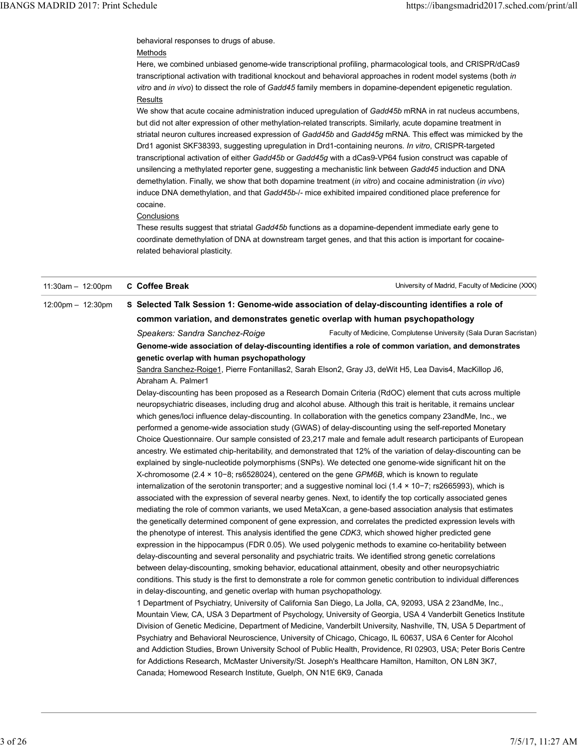behavioral responses to drugs of abuse.

# Methods

Here, we combined unbiased genome-wide transcriptional profiling, pharmacological tools, and CRISPR/dCas9 transcriptional activation with traditional knockout and behavioral approaches in rodent model systems (both in vitro and in vivo) to dissect the role of Gadd45 family members in dopamine-dependent epigenetic regulation. Results IBANGS MADRID 2017: Print Schedule<br>behavioral responses to drugs of abuse.<br><u>Methods</u> — https://ibangsmadrid2017.sched.com/print/all<br>Here, we combined unbiased genome-wide transcriptional profiling, pharmacological tools, a

> We show that acute cocaine administration induced upregulation of Gadd45b mRNA in rat nucleus accumbens, but did not alter expression of other methylation-related transcripts. Similarly, acute dopamine treatment in striatal neuron cultures increased expression of Gadd45b and Gadd45g mRNA. This effect was mimicked by the Drd1 agonist SKF38393, suggesting upregulation in Drd1-containing neurons. In vitro, CRISPR-targeted transcriptional activation of either Gadd45b or Gadd45g with a dCas9-VP64 fusion construct was capable of unsilencing a methylated reporter gene, suggesting a mechanistic link between Gadd45 induction and DNA demethylation. Finally, we show that both dopamine treatment (in vitro) and cocaine administration (in vivo) induce DNA demethylation, and that Gadd45b-/- mice exhibited impaired conditioned place preference for cocaine.

# **Conclusions**

 $11:30$ am –  $12:00$ pm C. Coffee Break

These results suggest that striatal Gadd45b functions as a dopamine-dependent immediate early gene to coordinate demethylation of DNA at downstream target genes, and that this action is important for cocainerelated behavioral plasticity.

| $11:30am - 12:00pm$ | C Coffee Break                                                                                                                                                                                                  | University of Madrid, Faculty of Medicine (XXX)                                                                     |  |
|---------------------|-----------------------------------------------------------------------------------------------------------------------------------------------------------------------------------------------------------------|---------------------------------------------------------------------------------------------------------------------|--|
| 12:00pm - 12:30pm   |                                                                                                                                                                                                                 | S Selected Talk Session 1: Genome-wide association of delay-discounting identifies a role of                        |  |
|                     | common variation, and demonstrates genetic overlap with human psychopathology                                                                                                                                   |                                                                                                                     |  |
|                     | Speakers: Sandra Sanchez-Roige                                                                                                                                                                                  | Faculty of Medicine, Complutense University (Sala Duran Sacristan)                                                  |  |
|                     |                                                                                                                                                                                                                 | Genome-wide association of delay-discounting identifies a role of common variation, and demonstrates                |  |
|                     | genetic overlap with human psychopathology                                                                                                                                                                      |                                                                                                                     |  |
|                     |                                                                                                                                                                                                                 | Sandra Sanchez-Roige1, Pierre Fontanillas2, Sarah Elson2, Gray J3, deWit H5, Lea Davis4, MacKillop J6,              |  |
|                     | Abraham A. Palmer1                                                                                                                                                                                              |                                                                                                                     |  |
|                     |                                                                                                                                                                                                                 | Delay-discounting has been proposed as a Research Domain Criteria (RdOC) element that cuts across multiple          |  |
|                     |                                                                                                                                                                                                                 | neuropsychiatric diseases, including drug and alcohol abuse. Although this trait is heritable, it remains unclear   |  |
|                     | which genes/loci influence delay-discounting. In collaboration with the genetics company 23andMe, Inc., we                                                                                                      |                                                                                                                     |  |
|                     | performed a genome-wide association study (GWAS) of delay-discounting using the self-reported Monetary                                                                                                          |                                                                                                                     |  |
|                     | Choice Questionnaire. Our sample consisted of 23,217 male and female adult research participants of European                                                                                                    |                                                                                                                     |  |
|                     | ancestry. We estimated chip-heritability, and demonstrated that 12% of the variation of delay-discounting can be                                                                                                |                                                                                                                     |  |
|                     | explained by single-nucleotide polymorphisms (SNPs). We detected one genome-wide significant hit on the                                                                                                         |                                                                                                                     |  |
|                     | X-chromosome ( $2.4 \times 10-8$ ; rs6528024), centered on the gene <i>GPM6B</i> , which is known to regulate                                                                                                   |                                                                                                                     |  |
|                     | internalization of the serotonin transporter; and a suggestive nominal loci $(1.4 \times 10 - 7)$ ; rs2665993), which is                                                                                        |                                                                                                                     |  |
|                     | associated with the expression of several nearby genes. Next, to identify the top cortically associated genes                                                                                                   |                                                                                                                     |  |
|                     | mediating the role of common variants, we used MetaXcan, a gene-based association analysis that estimates                                                                                                       |                                                                                                                     |  |
|                     | the genetically determined component of gene expression, and correlates the predicted expression levels with                                                                                                    |                                                                                                                     |  |
|                     | the phenotype of interest. This analysis identified the gene CDK3, which showed higher predicted gene<br>expression in the hippocampus (FDR 0.05). We used polygenic methods to examine co-heritability between |                                                                                                                     |  |
|                     |                                                                                                                                                                                                                 | delay-discounting and several personality and psychiatric traits. We identified strong genetic correlations         |  |
|                     |                                                                                                                                                                                                                 | between delay-discounting, smoking behavior, educational attainment, obesity and other neuropsychiatric             |  |
|                     |                                                                                                                                                                                                                 | conditions. This study is the first to demonstrate a role for common genetic contribution to individual differences |  |
|                     | in delay-discounting, and genetic overlap with human psychopathology.                                                                                                                                           |                                                                                                                     |  |
|                     |                                                                                                                                                                                                                 | 1 Department of Psychiatry, University of California San Diego, La Jolla, CA, 92093, USA 2 23andMe, Inc.,           |  |
|                     |                                                                                                                                                                                                                 | Mountain View, CA, USA 3 Department of Psychology, University of Georgia, USA 4 Vanderbilt Genetics Institute       |  |
|                     |                                                                                                                                                                                                                 | Division of Genetic Medicine, Department of Medicine, Vanderbilt University, Nashville, TN, USA 5 Department of     |  |
|                     |                                                                                                                                                                                                                 | Psychiatry and Behavioral Neuroscience, University of Chicago, Chicago, IL 60637, USA 6 Center for Alcohol          |  |
|                     |                                                                                                                                                                                                                 | and Addiction Studies, Brown University School of Public Health, Providence, RI 02903, USA; Peter Boris Centre      |  |
|                     |                                                                                                                                                                                                                 | for Addictions Research, McMaster University/St. Joseph's Healthcare Hamilton, Hamilton, ON L8N 3K7,                |  |
|                     | Canada; Homewood Research Institute, Guelph, ON N1E 6K9, Canada                                                                                                                                                 |                                                                                                                     |  |
|                     |                                                                                                                                                                                                                 |                                                                                                                     |  |
|                     |                                                                                                                                                                                                                 |                                                                                                                     |  |
|                     |                                                                                                                                                                                                                 |                                                                                                                     |  |
|                     |                                                                                                                                                                                                                 |                                                                                                                     |  |
|                     |                                                                                                                                                                                                                 |                                                                                                                     |  |
|                     |                                                                                                                                                                                                                 | 7/5/17, 11:27 AM                                                                                                    |  |
|                     |                                                                                                                                                                                                                 |                                                                                                                     |  |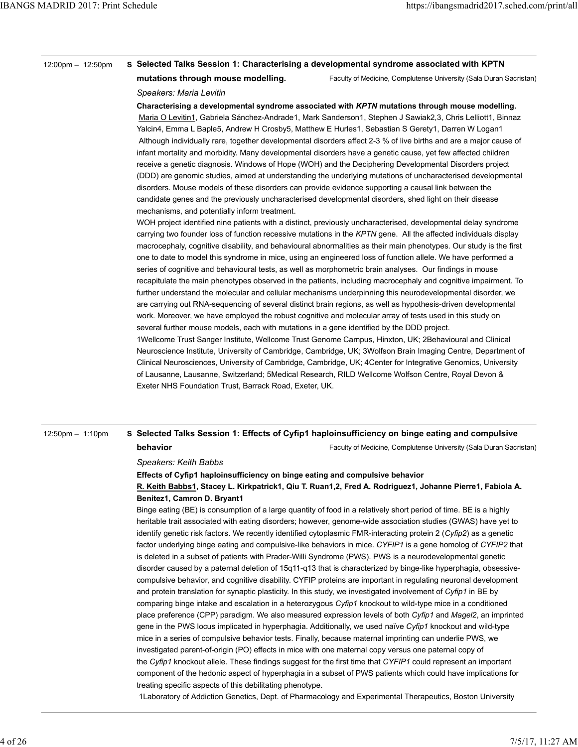| <b>IBANGS MADRID 2017: Print Schedule</b> |                                                                                                                                                                                                                          |
|-------------------------------------------|--------------------------------------------------------------------------------------------------------------------------------------------------------------------------------------------------------------------------|
|                                           | https://ibangsmadrid2017.sched.com/print/all                                                                                                                                                                             |
|                                           |                                                                                                                                                                                                                          |
|                                           |                                                                                                                                                                                                                          |
|                                           |                                                                                                                                                                                                                          |
|                                           |                                                                                                                                                                                                                          |
|                                           |                                                                                                                                                                                                                          |
|                                           |                                                                                                                                                                                                                          |
|                                           |                                                                                                                                                                                                                          |
|                                           |                                                                                                                                                                                                                          |
|                                           |                                                                                                                                                                                                                          |
|                                           |                                                                                                                                                                                                                          |
| $12:00 \text{pm} - 12:50 \text{pm}$       | S Selected Talks Session 1: Characterising a developmental syndrome associated with KPTN                                                                                                                                 |
|                                           | Faculty of Medicine, Complutense University (Sala Duran Sacristan)<br>mutations through mouse modelling.                                                                                                                 |
|                                           | Speakers: Maria Levitin                                                                                                                                                                                                  |
|                                           | Characterising a developmental syndrome associated with KPTN mutations through mouse modelling.                                                                                                                          |
|                                           | Maria O Levitin1, Gabriela Sánchez-Andrade1, Mark Sanderson1, Stephen J Sawiak2,3, Chris Lelliott1, Binnaz<br>Yalcin4, Emma L Baple5, Andrew H Crosby5, Matthew E Hurles1, Sebastian S Gerety1, Darren W Logan1          |
|                                           | Although individually rare, together developmental disorders affect 2-3 % of live births and are a major cause of                                                                                                        |
|                                           | infant mortality and morbidity. Many developmental disorders have a genetic cause, yet few affected children                                                                                                             |
|                                           | receive a genetic diagnosis. Windows of Hope (WOH) and the Deciphering Developmental Disorders project                                                                                                                   |
|                                           | (DDD) are genomic studies, aimed at understanding the underlying mutations of uncharacterised developmental                                                                                                              |
|                                           | disorders. Mouse models of these disorders can provide evidence supporting a causal link between the                                                                                                                     |
|                                           | candidate genes and the previously uncharacterised developmental disorders, shed light on their disease                                                                                                                  |
|                                           | mechanisms, and potentially inform treatment.                                                                                                                                                                            |
|                                           | WOH project identified nine patients with a distinct, previously uncharacterised, developmental delay syndrome                                                                                                           |
|                                           | carrying two founder loss of function recessive mutations in the KPTN gene. All the affected individuals display                                                                                                         |
|                                           | macrocephaly, cognitive disability, and behavioural abnormalities as their main phenotypes. Our study is the first                                                                                                       |
|                                           | one to date to model this syndrome in mice, using an engineered loss of function allele. We have performed a<br>series of cognitive and behavioural tests, as well as morphometric brain analyses. Our findings in mouse |
|                                           | recapitulate the main phenotypes observed in the patients, including macrocephaly and cognitive impairment. To                                                                                                           |
|                                           | further understand the molecular and cellular mechanisms underpinning this neurodevelopmental disorder, we                                                                                                               |
|                                           | are carrying out RNA-sequencing of several distinct brain regions, as well as hypothesis-driven developmental                                                                                                            |
|                                           | work. Moreover, we have employed the robust cognitive and molecular array of tests used in this study on                                                                                                                 |
|                                           | several further mouse models, each with mutations in a gene identified by the DDD project.                                                                                                                               |
|                                           |                                                                                                                                                                                                                          |
|                                           | 1Wellcome Trust Sanger Institute, Wellcome Trust Genome Campus, Hinxton, UK; 2Behavioural and Clinical                                                                                                                   |
|                                           | Neuroscience Institute, University of Cambridge, Cambridge, UK; 3Wolfson Brain Imaging Centre, Department of                                                                                                             |
|                                           | Clinical Neurosciences, University of Cambridge, Cambridge, UK; 4 Center for Integrative Genomics, University                                                                                                            |
|                                           | of Lausanne, Lausanne, Switzerland; 5Medical Research, RILD Wellcome Wolfson Centre, Royal Devon &                                                                                                                       |
|                                           | Exeter NHS Foundation Trust, Barrack Road, Exeter, UK.                                                                                                                                                                   |

# Faculty of Medicine, Complutense University (Sala Duran Sacristan) 12:50pm – 1:10pm S Selected Talks Session 1: Effects of Cyfip1 haploinsufficiency on binge eating and compulsive

# behavior

# Speakers: Keith Babbs Effects of Cyfip1 haploinsufficiency on binge eating and compulsive behavior

# R. Keith Babbs1, Stacey L. Kirkpatrick1, Qiu T. Ruan1,2, Fred A. Rodriguez1, Johanne Pierre1, Fabiola A. Benitez1, Camron D. Bryant1

Binge eating (BE) is consumption of a large quantity of food in a relatively short period of time. BE is a highly heritable trait associated with eating disorders; however, genome-wide association studies (GWAS) have yet to identify genetic risk factors. We recently identified cytoplasmic FMR-interacting protein 2 (Cyfip2) as a genetic factor underlying binge eating and compulsive-like behaviors in mice. CYFIP1 is a gene homolog of CYFIP2 that is deleted in a subset of patients with Prader-Willi Syndrome (PWS). PWS is a neurodevelopmental genetic disorder caused by a paternal deletion of 15q11-q13 that is characterized by binge-like hyperphagia, obsessivecompulsive behavior, and cognitive disability. CYFIP proteins are important in regulating neuronal development and protein translation for synaptic plasticity. In this study, we investigated involvement of Cyfip1 in BE by comparing binge intake and escalation in a heterozygous Cyfip1 knockout to wild-type mice in a conditioned place preference (CPP) paradigm. We also measured expression levels of both Cyfip1 and Magel2, an imprinted gene in the PWS locus implicated in hyperphagia. Additionally, we used naïve Cyfip1 knockout and wild-type mice in a series of compulsive behavior tests. Finally, because maternal imprinting can underlie PWS, we investigated parent-of-origin (PO) effects in mice with one maternal copy versus one paternal copy of the Cyfip1 knockout allele. These findings suggest for the first time that CYFIP1 could represent an important component of the hedonic aspect of hyperphagia in a subset of PWS patients which could have implications for treating specific aspects of this debilitating phenotype. Benitred, Camron D. Bryant1<br>
Binge aaling (BE) is consumption of a large quantity of food in a relatively short period of time. BE is a highly<br>
bericable trait associated with eating disorders; however, genome-wide associ

1Laboratory of Addiction Genetics, Dept. of Pharmacology and Experimental Therapeutics, Boston University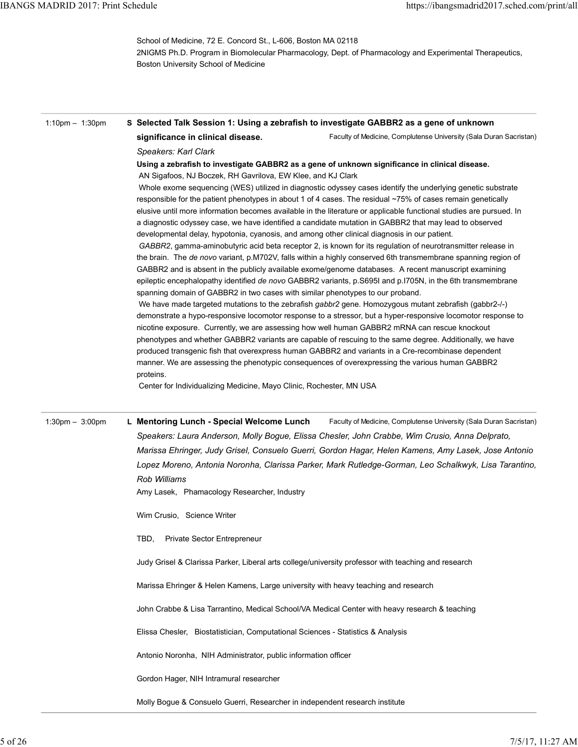| <b>IBANGS MADRID 2017: Print Schedule</b> | https://ibangsmadrid2017.sched.com/print/all                                                                                                                                                                                                                                                                                                                                                                                                                                                                                                                                                                                                                                                                                                                                                                                                                                                                                                                                                                                                                                                                                                                                                               |
|-------------------------------------------|------------------------------------------------------------------------------------------------------------------------------------------------------------------------------------------------------------------------------------------------------------------------------------------------------------------------------------------------------------------------------------------------------------------------------------------------------------------------------------------------------------------------------------------------------------------------------------------------------------------------------------------------------------------------------------------------------------------------------------------------------------------------------------------------------------------------------------------------------------------------------------------------------------------------------------------------------------------------------------------------------------------------------------------------------------------------------------------------------------------------------------------------------------------------------------------------------------|
|                                           | School of Medicine, 72 E. Concord St., L-606, Boston MA 02118<br>2NIGMS Ph.D. Program in Biomolecular Pharmacology, Dept. of Pharmacology and Experimental Therapeutics,<br>Boston University School of Medicine                                                                                                                                                                                                                                                                                                                                                                                                                                                                                                                                                                                                                                                                                                                                                                                                                                                                                                                                                                                           |
| 1:10pm $-$ 1:30pm                         | S Selected Talk Session 1: Using a zebrafish to investigate GABBR2 as a gene of unknown<br>significance in clinical disease.<br>Faculty of Medicine, Complutense University (Sala Duran Sacristan)                                                                                                                                                                                                                                                                                                                                                                                                                                                                                                                                                                                                                                                                                                                                                                                                                                                                                                                                                                                                         |
|                                           | Speakers: Karl Clark<br>Using a zebrafish to investigate GABBR2 as a gene of unknown significance in clinical disease.<br>AN Sigafoos, NJ Boczek, RH Gavrilova, EW Klee, and KJ Clark<br>Whole exome sequencing (WES) utilized in diagnostic odyssey cases identify the underlying genetic substrate<br>responsible for the patient phenotypes in about 1 of 4 cases. The residual ~75% of cases remain genetically<br>elusive until more information becomes available in the literature or applicable functional studies are pursued. In<br>a diagnostic odyssey case, we have identified a candidate mutation in GABBR2 that may lead to observed<br>developmental delay, hypotonia, cyanosis, and among other clinical diagnosis in our patient.<br>GABBR2, gamma-aminobutyric acid beta receptor 2, is known for its regulation of neurotransmitter release in<br>the brain. The de novo variant, p.M702V, falls within a highly conserved 6th transmembrane spanning region of<br>GABBR2 and is absent in the publicly available exome/genome databases. A recent manuscript examining<br>epileptic encephalopathy identified de novo GABBR2 variants, p.S695I and p.I705N, in the 6th transmembrane |
|                                           | spanning domain of GABBR2 in two cases with similar phenotypes to our proband.<br>We have made targeted mutations to the zebrafish gabbr2 gene. Homozygous mutant zebrafish (gabbr2-/-)<br>demonstrate a hypo-responsive locomotor response to a stressor, but a hyper-responsive locomotor response to<br>nicotine exposure. Currently, we are assessing how well human GABBR2 mRNA can rescue knockout<br>phenotypes and whether GABBR2 variants are capable of rescuing to the same degree. Additionally, we have<br>produced transgenic fish that overexpress human GABBR2 and variants in a Cre-recombinase dependent<br>manner. We are assessing the phenotypic consequences of overexpressing the various human GABBR2<br>proteins.<br>Center for Individualizing Medicine, Mayo Clinic, Rochester, MN USA                                                                                                                                                                                                                                                                                                                                                                                          |
| $1:30 \text{pm} - 3:00 \text{pm}$         | Faculty of Medicine, Complutense University (Sala Duran Sacristan)<br>L Mentoring Lunch - Special Welcome Lunch<br>Speakers: Laura Anderson, Molly Bogue, Elissa Chesler, John Crabbe, Wim Crusio, Anna Delprato,<br>Marissa Ehringer, Judy Grisel, Consuelo Guerri, Gordon Hagar, Helen Kamens, Amy Lasek, Jose Antonio<br>Lopez Moreno, Antonia Noronha, Clarissa Parker, Mark Rutledge-Gorman, Leo Schalkwyk, Lisa Tarantino,<br>Rob Williams<br>Amy Lasek, Phamacology Researcher, Industry                                                                                                                                                                                                                                                                                                                                                                                                                                                                                                                                                                                                                                                                                                            |
|                                           | Wim Crusio, Science Writer                                                                                                                                                                                                                                                                                                                                                                                                                                                                                                                                                                                                                                                                                                                                                                                                                                                                                                                                                                                                                                                                                                                                                                                 |
|                                           | TBD,<br>Private Sector Entrepreneur                                                                                                                                                                                                                                                                                                                                                                                                                                                                                                                                                                                                                                                                                                                                                                                                                                                                                                                                                                                                                                                                                                                                                                        |
|                                           | Judy Grisel & Clarissa Parker, Liberal arts college/university professor with teaching and research                                                                                                                                                                                                                                                                                                                                                                                                                                                                                                                                                                                                                                                                                                                                                                                                                                                                                                                                                                                                                                                                                                        |
|                                           | Marissa Ehringer & Helen Kamens, Large university with heavy teaching and research                                                                                                                                                                                                                                                                                                                                                                                                                                                                                                                                                                                                                                                                                                                                                                                                                                                                                                                                                                                                                                                                                                                         |
|                                           | John Crabbe & Lisa Tarrantino, Medical School/VA Medical Center with heavy research & teaching                                                                                                                                                                                                                                                                                                                                                                                                                                                                                                                                                                                                                                                                                                                                                                                                                                                                                                                                                                                                                                                                                                             |
|                                           | Elissa Chesler, Biostatistician, Computational Sciences - Statistics & Analysis                                                                                                                                                                                                                                                                                                                                                                                                                                                                                                                                                                                                                                                                                                                                                                                                                                                                                                                                                                                                                                                                                                                            |
|                                           | Antonio Noronha, NIH Administrator, public information officer                                                                                                                                                                                                                                                                                                                                                                                                                                                                                                                                                                                                                                                                                                                                                                                                                                                                                                                                                                                                                                                                                                                                             |
|                                           | Gordon Hager, NIH Intramural researcher                                                                                                                                                                                                                                                                                                                                                                                                                                                                                                                                                                                                                                                                                                                                                                                                                                                                                                                                                                                                                                                                                                                                                                    |
|                                           | Molly Bogue & Consuelo Guerri, Researcher in independent research institute                                                                                                                                                                                                                                                                                                                                                                                                                                                                                                                                                                                                                                                                                                                                                                                                                                                                                                                                                                                                                                                                                                                                |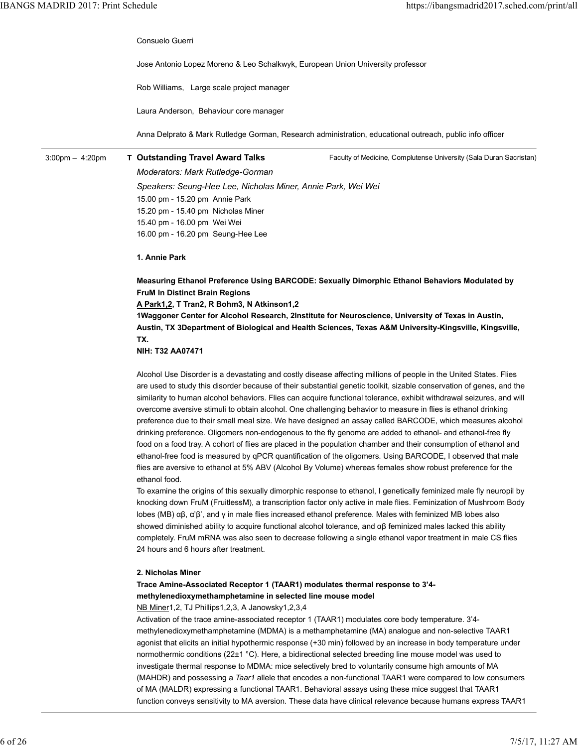Consuelo Guerri

Jose Antonio Lopez Moreno & Leo Schalkwyk, European Union University professor IBANGS MADRID 2017: Print Schedule https://ibangsmadrid2017.sched.com/print/all<br>Consuelo Guerri<br>Jose Antonio Lopez Moreno & Leo Schalkwyk, European Union University professor

Rob Williams, Large scale project manager

Laura Anderson, Behaviour core manager

Anna Delprato & Mark Rutledge Gorman, Research administration, educational outreach, public info officer

3:00pm - 4:20pm T Outstanding Travel Award Talks

Faculty of Medicine, Complutense University (Sala Duran Sacristan)

Moderators: Mark Rutledge-Gorman Speakers: Seung-Hee Lee, Nicholas Miner, Annie Park, Wei Wei 15.00 pm - 15.20 pm Annie Park 15.20 pm - 15.40 pm Nicholas Miner 15.40 pm - 16.00 pm Wei Wei 16.00 pm - 16.20 pm Seung-Hee Lee

1. Annie Park

Measuring Ethanol Preference Using BARCODE: Sexually Dimorphic Ethanol Behaviors Modulated by FruM In Distinct Brain Regions

A Park1,2, T Tran2, R Bohm3, N Atkinson1,2

1Waggoner Center for Alcohol Research, 2Institute for Neuroscience, University of Texas in Austin, Austin, TX 3Department of Biological and Health Sciences, Texas A&M University-Kingsville, Kingsville, TX.

NIH: T32 AA07471

Alcohol Use Disorder is a devastating and costly disease affecting millions of people in the United States. Flies are used to study this disorder because of their substantial genetic toolkit, sizable conservation of genes, and the similarity to human alcohol behaviors. Flies can acquire functional tolerance, exhibit withdrawal seizures, and will overcome aversive stimuli to obtain alcohol. One challenging behavior to measure in flies is ethanol drinking preference due to their small meal size. We have designed an assay called BARCODE, which measures alcohol drinking preference. Oligomers non-endogenous to the fly genome are added to ethanol- and ethanol-free fly food on a food tray. A cohort of flies are placed in the population chamber and their consumption of ethanol and ethanol-free food is measured by qPCR quantification of the oligomers. Using BARCODE, I observed that male flies are aversive to ethanol at 5% ABV (Alcohol By Volume) whereas females show robust preference for the ethanol food.

To examine the origins of this sexually dimorphic response to ethanol, I genetically feminized male fly neuropil by knocking down FruM (FruitlessM), a transcription factor only active in male flies. Feminization of Mushroom Body lobes (MB) αβ, α'β', and γ in male flies increased ethanol preference. Males with feminized MB lobes also showed diminished ability to acquire functional alcohol tolerance, and αβ feminized males lacked this ability completely. FruM mRNA was also seen to decrease following a single ethanol vapor treatment in male CS flies 24 hours and 6 hours after treatment.

### 2. Nicholas Miner

# Trace Amine-Associated Receptor 1 (TAAR1) modulates thermal response to 3'4 methylenedioxymethamphetamine in selected line mouse model

NB Miner1,2, TJ Phillips1,2,3, A Janowsky1,2,3,4

Activation of the trace amine-associated receptor 1 (TAAR1) modulates core body temperature. 3'4 methylenedioxymethamphetamine (MDMA) is a methamphetamine (MA) analogue and non-selective TAAR1 agonist that elicits an initial hypothermic response (+30 min) followed by an increase in body temperature under normothermic conditions (22±1 °C). Here, a bidirectional selected breeding line mouse model was used to investigate thermal response to MDMA: mice selectively bred to voluntarily consume high amounts of MA (MAHDR) and possessing a Taar1 allele that encodes a non-functional TAAR1 were compared to low consumers of MA (MALDR) expressing a functional TAAR1. Behavioral assays using these mice suggest that TAAR1 function conveys sensitivity to MA aversion. These data have clinical relevance because humans express TAAR1 knocking down FruM (FruitlessM), a transcription factor only active in mate flies. Feminization of Mushroom Body<br>
blocs (MB) of), di<sup>2</sup>, and y in mate flies increased ethanol preference. Males with feminizad MB looks also<br>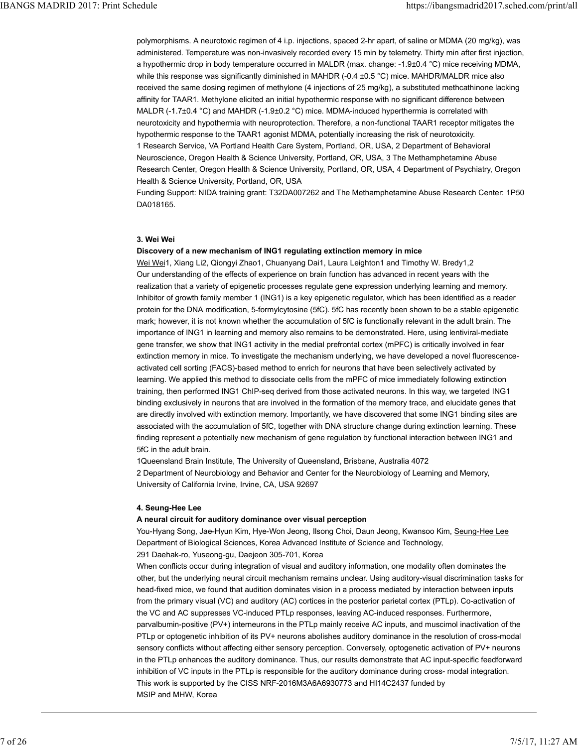polymorphisms. A neurotoxic regimen of 4 i.p. injections, spaced 2-hr apart, of saline or MDMA (20 mg/kg), was administered. Temperature was non-invasively recorded every 15 min by telemetry. Thirty min after first injection, a hypothermic drop in body temperature occurred in MALDR (max. change: -1.9±0.4 °C) mice receiving MDMA, while this response was significantly diminished in MAHDR (-0.4  $\pm$ 0.5 °C) mice. MAHDR/MALDR mice also received the same dosing regimen of methylone (4 injections of 25 mg/kg), a substituted methcathinone lacking affinity for TAAR1. Methylone elicited an initial hypothermic response with no significant difference between MALDR (-1.7±0.4 °C) and MAHDR (-1.9±0.2 °C) mice. MDMA-induced hyperthermia is correlated with neurotoxicity and hypothermia with neuroprotection. Therefore, a non-functional TAAR1 receptor mitigates the hypothermic response to the TAAR1 agonist MDMA, potentially increasing the risk of neurotoxicity. 1 Research Service, VA Portland Health Care System, Portland, OR, USA, 2 Department of Behavioral Neuroscience, Oregon Health & Science University, Portland, OR, USA, 3 The Methamphetamine Abuse Research Center, Oregon Health & Science University, Portland, OR, USA, 4 Department of Psychiatry, Oregon Health & Science University, Portland, OR, USA IBANGS MADRID 2017: Print Schedule<br>polymorphisms. A neurotoxic regimen of 4 i.p. injections, spaced 2-hr apart, of saline or MDMA (20 mg/kg), was<br>administered. Temperature was non-invasively recorded every 15 min by teleme

> Funding Support: NIDA training grant: T32DA007262 and The Methamphetamine Abuse Research Center: 1P50 DA018165.

# 3. Wei Wei

### Discovery of a new mechanism of ING1 regulating extinction memory in mice

Wei Wei1, Xiang Li2, Qiongyi Zhao1, Chuanyang Dai1, Laura Leighton1 and Timothy W. Bredy1,2 Our understanding of the effects of experience on brain function has advanced in recent years with the realization that a variety of epigenetic processes regulate gene expression underlying learning and memory. Inhibitor of growth family member 1 (ING1) is a key epigenetic regulator, which has been identified as a reader protein for the DNA modification, 5-formylcytosine (5fC). 5fC has recently been shown to be a stable epigenetic mark; however, it is not known whether the accumulation of 5fC is functionally relevant in the adult brain. The importance of ING1 in learning and memory also remains to be demonstrated. Here, using lentiviral-mediate gene transfer, we show that ING1 activity in the medial prefrontal cortex (mPFC) is critically involved in fear extinction memory in mice. To investigate the mechanism underlying, we have developed a novel fluorescenceactivated cell sorting (FACS)-based method to enrich for neurons that have been selectively activated by learning. We applied this method to dissociate cells from the mPFC of mice immediately following extinction training, then performed ING1 ChIP-seq derived from those activated neurons. In this way, we targeted ING1 binding exclusively in neurons that are involved in the formation of the memory trace, and elucidate genes that are directly involved with extinction memory. Importantly, we have discovered that some ING1 binding sites are associated with the accumulation of 5fC, together with DNA structure change during extinction learning. These finding represent a potentially new mechanism of gene regulation by functional interaction between ING1 and 5fC in the adult brain.

1Queensland Brain Institute, The University of Queensland, Brisbane, Australia 4072 2 Department of Neurobiology and Behavior and Center for the Neurobiology of Learning and Memory, University of California Irvine, Irvine, CA, USA 92697

### 4. Seung-Hee Lee

### A neural circuit for auditory dominance over visual perception

You-Hyang Song, Jae-Hyun Kim, Hye-Won Jeong, Ilsong Choi, Daun Jeong, Kwansoo Kim, Seung-Hee Lee Department of Biological Sciences, Korea Advanced Institute of Science and Technology,

291 Daehak-ro, Yuseong-gu, Daejeon 305-701, Korea

When conflicts occur during integration of visual and auditory information, one modality often dominates the other, but the underlying neural circuit mechanism remains unclear. Using auditory-visual discrimination tasks for head-fixed mice, we found that audition dominates vision in a process mediated by interaction between inputs from the primary visual (VC) and auditory (AC) cortices in the posterior parietal cortex (PTLp). Co-activation of the VC and AC suppresses VC-induced PTLp responses, leaving AC-induced responses. Furthermore, parvalbumin-positive (PV+) interneurons in the PTLp mainly receive AC inputs, and muscimol inactivation of the PTLp or optogenetic inhibition of its PV+ neurons abolishes auditory dominance in the resolution of cross-modal sensory conflicts without affecting either sensory perception. Conversely, optogenetic activation of PV+ neurons in the PTLp enhances the auditory dominance. Thus, our results demonstrate that AC input-specific feedforward inhibition of VC inputs in the PTLp is responsible for the auditory dominance during cross- modal integration. This work is supported by the CISS NRF-2016M3A6A6930773 and HI14C2437 funded by MSIP and MHW, Korea 4. Seung-Hee Lee<br>
A neural circuit of auditory dominance over visual perception<br>
You-Hyang Song, Jae-Hyun Kim, Hye-Won Jeong, Ilsong Choi, Daun Jeong, Kwansoo Kim, Seung-Hee Lee<br>
Department of Biological Sciences, Korea Ad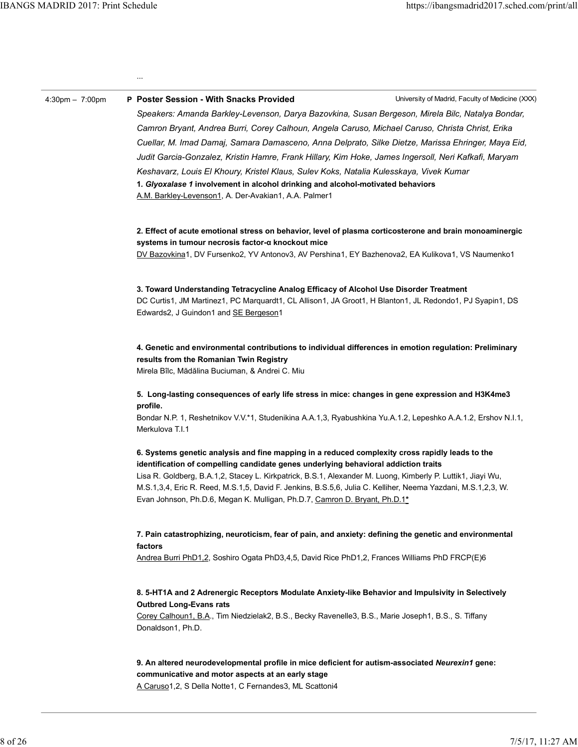University of Madrid, Faculty of Medicine (XXX) ... 4:30pm – 7:00pm P Poster Session - With Snacks Provided Speakers: Amanda Barkley-Levenson, Darya Bazovkina, Susan Bergeson, Mirela Bilc, Natalya Bondar, Camron Bryant, Andrea Burri, Corey Calhoun, Angela Caruso, Michael Caruso, Christa Christ, Erika Cuellar, M. Imad Damaj, Samara Damasceno, Anna Delprato, Silke Dietze, Marissa Ehringer, Maya Eid, Judit Garcia-Gonzalez, Kristin Hamre, Frank Hillary, Kim Hoke, James Ingersoll, Neri Kafkafi, Maryam Keshavarz, Louis El Khoury, Kristel Klaus, Sulev Koks, Natalia Kulesskaya, Vivek Kumar 1. Glyoxalase 1 involvement in alcohol drinking and alcohol-motivated behaviors A.M. Barkley-Levenson1, A. Der-Avakian1, A.A. Palmer1 2. Effect of acute emotional stress on behavior, level of plasma corticosterone and brain monoaminergic systems in tumour necrosis factor-α knockout mice DV Bazovkina1, DV Fursenko2, YV Antonov3, AV Pershina1, EY Bazhenova2, EA Kulikova1, VS Naumenko1 3. Toward Understanding Tetracycline Analog Efficacy of Alcohol Use Disorder Treatment DC Curtis1, JM Martinez1, PC Marquardt1, CL Allison1, JA Groot1, H Blanton1, JL Redondo1, PJ Syapin1, DS Edwards2, J Guindon1 and SE Bergeson1 4. Genetic and environmental contributions to individual differences in emotion regulation: Preliminary results from the Romanian Twin Registry Mirela Bîlc, Mădălina Buciuman, & Andrei C. Miu 5. Long-lasting consequences of early life stress in mice: changes in gene expression and H3K4me3 profile. Bondar N.P. 1, Reshetnikov V.V.\*1, Studenikina A.A.1,3, Ryabushkina Yu.A.1.2, Lepeshko A.A.1.2, Ershov N.I.1, Merkulova T.I.1 6. Systems genetic analysis and fine mapping in a reduced complexity cross rapidly leads to the identification of compelling candidate genes underlying behavioral addiction traits Lisa R. Goldberg, B.A.1,2, Stacey L. Kirkpatrick, B.S.1, Alexander M. Luong, Kimberly P. Luttik1, Jiayi Wu, M.S.1,3,4, Eric R. Reed, M.S.1,5, David F. Jenkins, B.S.5,6, Julia C. Kelliher, Neema Yazdani, M.S.1,2,3, W. Evan Johnson, Ph.D.6, Megan K. Mulligan, Ph.D.7, Camron D. Bryant, Ph.D.1\* 7. Pain catastrophizing, neuroticism, fear of pain, and anxiety: defining the genetic and environmental factors Andrea Burri PhD1,2, Soshiro Ogata PhD3,4,5, David Rice PhD1,2, Frances Williams PhD FRCP(E)6 8. 5-HT1A and 2 Adrenergic Receptors Modulate Anxiety-like Behavior and Impulsivity in Selectively Outbred Long-Evans rats Corey Calhoun1, B.A., Tim Niedzielak2, B.S., Becky Ravenelle3, B.S., Marie Joseph1, B.S., S. Tiffany Donaldson1, Ph.D. 9. An altered neurodevelopmental profile in mice deficient for autism-associated Neurexin1 gene: communicative and motor aspects at an early stage Evan Johnson, Ph.D.6, Megan K. Mulligan, Ph.D.7, <u>Gamron D. Bryant, Ph.D.1\*</u><br>
7. Pain catastrophizing, neuroticism, fear of pain, and anxiety: defining the genetic and environmental<br>
factors<br>
Andrea Buril PhD1,2, Soshiro O

A Caruso1,2, S Della Notte1, C Fernandes3, ML Scattoni4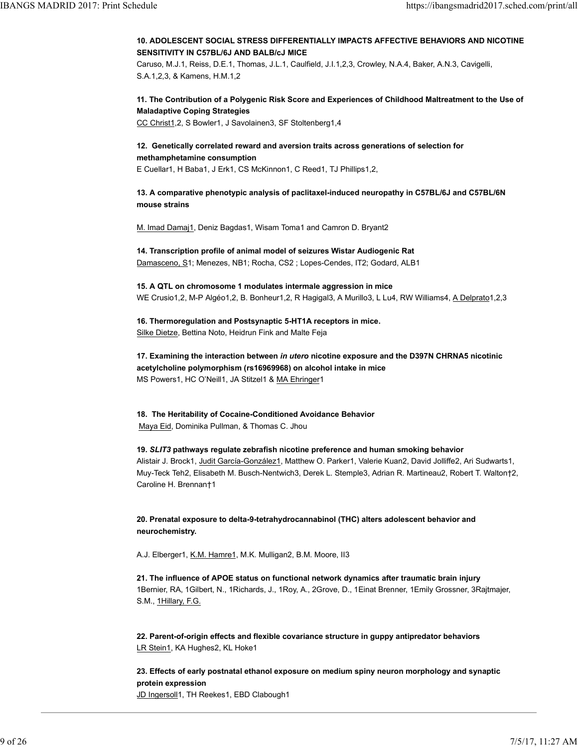# 10. ADOLESCENT SOCIAL STRESS DIFFERENTIALLY IMPACTS AFFECTIVE BEHAVIORS AND NICOTINE SENSITIVITY IN C57BL/6J AND BALB/cJ MICE IBANGS MADRID 2017: Print Schedule<br>
10. ADOLESCENT SOCIAL STRESS DIFFERENTIALLY IMPACTS AFFECTIVE BEHAVIORS AND NICOTINE<br>
SENSITIVITY IN C57BL/6J AND BALB/cJ MICE<br>
Caruso, M.J.1, Reiss, D.E.1, Thomas, J.L.1, Caulfield, J.l

Caruso, M.J.1, Reiss, D.E.1, Thomas, J.L.1, Caulfield, J.I.1,2,3, Crowley, N.A.4, Baker, A.N.3, Cavigelli, S.A.1,2,3, & Kamens, H.M.1,2

# 11. The Contribution of a Polygenic Risk Score and Experiences of Childhood Maltreatment to the Use of Maladaptive Coping Strategies

CC Christ1,2, S Bowler1, J Savolainen3, SF Stoltenberg1,4

# 12. Genetically correlated reward and aversion traits across generations of selection for

# methamphetamine consumption

E Cuellar1, H Baba1, J Erk1, CS McKinnon1, C Reed1, TJ Phillips1,2,

# 13. A comparative phenotypic analysis of paclitaxel-induced neuropathy in C57BL/6J and C57BL/6N mouse strains

M. Imad Damaj1, Deniz Bagdas1, Wisam Toma1 and Camron D. Bryant2

14. Transcription profile of animal model of seizures Wistar Audiogenic Rat Damasceno, S1; Menezes, NB1; Rocha, CS2 ; Lopes-Cendes, IT2; Godard, ALB1

15. A QTL on chromosome 1 modulates intermale aggression in mice WE Crusio1,2, M-P Algéo1,2, B. Bonheur1,2, R Hagigal3, A Murillo3, L Lu4, RW Williams4, A Delprato1,2,3

16. Thermoregulation and Postsynaptic 5-HT1A receptors in mice. Silke Dietze, Bettina Noto, Heidrun Fink and Malte Feja

17. Examining the interaction between in utero nicotine exposure and the D397N CHRNA5 nicotinic acetylcholine polymorphism (rs16969968) on alcohol intake in mice MS Powers1, HC O'Neill1, JA Stitzel1 & MA Ehringer1

18. The Heritability of Cocaine-Conditioned Avoidance Behavior Maya Eid, Dominika Pullman, & Thomas C. Jhou

# 19. SLIT3 pathways regulate zebrafish nicotine preference and human smoking behavior

Alistair J. Brock1, Judit García-González1, Matthew O. Parker1, Valerie Kuan2, David Jolliffe2, Ari Sudwarts1, Muy-Teck Teh2, Elisabeth M. Busch-Nentwich3, Derek L. Stemple3, Adrian R. Martineau2, Robert T. Walton†2, Caroline H. Brennan†1

20. Prenatal exposure to delta-9-tetrahydrocannabinol (THC) alters adolescent behavior and neurochemistry.

A.J. Elberger1, K.M. Hamre1, M.K. Mulligan2, B.M. Moore, II3

21. The influence of APOE status on functional network dynamics after traumatic brain injury 1Bernier, RA, 1Gilbert, N., 1Richards, J., 1Roy, A., 2Grove, D., 1Einat Brenner, 1Emily Grossner, 3Rajtmajer, S.M., 1Hillary, F.G. 20. Prenatal exposure to delta-9-tetrahydrocannabinol (THC) alters adolescent behavior and<br>neurochemistry.<br>A.J. Elbergerf, <u>K.M. Hannel</u>, M.K. Mulligan2, B.M. Moore, II3<br>21. The influence of APOE status on functional netwo

22. Parent-of-origin effects and flexible covariance structure in guppy antipredator behaviors LR Stein1, KA Hughes2, KL Hoke1

23. Effects of early postnatal ethanol exposure on medium spiny neuron morphology and synaptic protein expression JD Ingersoll1, TH Reekes1, EBD Clabough1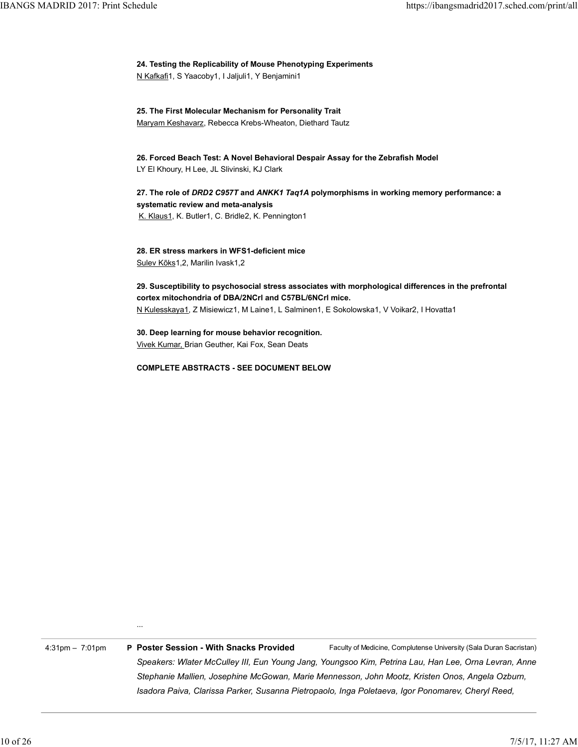edule<br>24. Testing the Replicability of Mouse Phenotyping Experiments<br><u>N Kafkafi</u>1, S Yaacoby1, I Jaljuli1, Y Benjamini1<br>25. The First Molecular Mechanism for Personality Trait<br>Marvam Keshavarz. Rebecca Krebs-Wheaton. Dieth N Kafkafi1, S Yaacoby1, I Jaljuli1, Y Benjamini1 IBANGS MADRID 2017: Print Schedule https://ibangsmadrid2017.sched.com/print/all<br>24. Testing the Replicability of Mouse Phenotyping Experiments

25. The First Molecular Mechanism for Personality Trait Maryam Keshavarz, Rebecca Krebs-Wheaton, Diethard Tautz

26. Forced Beach Test: A Novel Behavioral Despair Assay for the Zebrafish Model LY El Khoury, H Lee, JL Slivinski, KJ Clark

27. The role of DRD2 C957T and ANKK1 Taq1A polymorphisms in working memory performance: a systematic review and meta-analysis K. Klaus1, K. Butler1, C. Bridle2, K. Pennington1

28. ER stress markers in WFS1-deficient mice Sulev Kõks1,2, Marilin Ivask1,2

29. Susceptibility to psychosocial stress associates with morphological differences in the prefrontal cortex mitochondria of DBA/2NCrl and C57BL/6NCrl mice. N Kulesskaya1, Z Misiewicz1, M Laine1, L Salminen1, E Sokolowska1, V Voikar2, I Hovatta1

30. Deep learning for mouse behavior recognition. Vivek Kumar, Brian Geuther, Kai Fox, Sean Deats

COMPLETE ABSTRACTS - SEE DOCUMENT BELOW

...

Faculty of Medicine, Complutense University (Sala Duran Sacristan) 4:31pm – 7:01pm P Poster Session - With Snacks Provided Speakers: Wlater McCulley III, Eun Young Jang, Youngsoo Kim, Petrina Lau, Han Lee, Orna Levran, Anne Stephanie Mallien, Josephine McGowan, Marie Mennesson, John Mootz, Kristen Onos, Angela Ozburn, Isadora Paiva, Clarissa Parker, Susanna Pietropaolo, Inga Poletaeva, Igor Ponomarev, Cheryl Reed, ...<br>4.31pm - 7.01pm **P Poster Session - With Snacks Provided** Faculty of Medicine, Complutene University (Sala Duran Sacristan)<br>Speakers: Water McCulley III, Eun Young Jang, Youngsoo Kim, Petrina Lau, Han Lee, Orna Levran,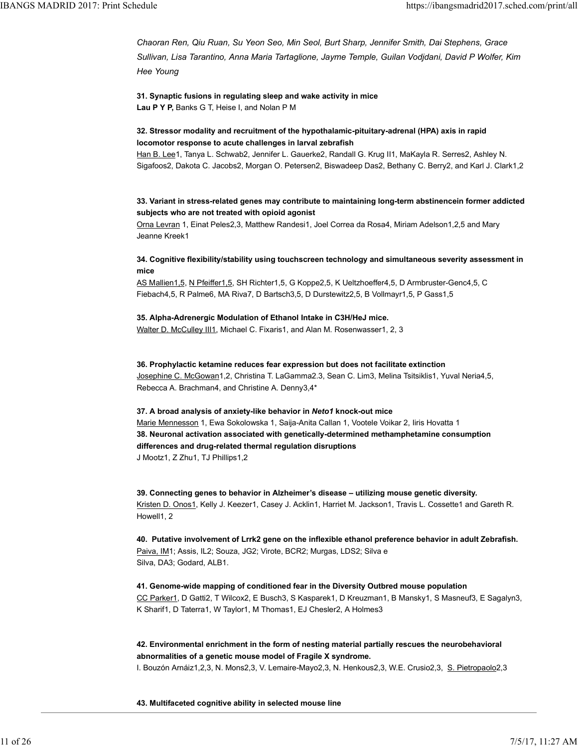Chaoran Ren, Qiu Ruan, Su Yeon Seo, Min Seol, Burt Sharp, Jennifer Smith, Dai Stephens, Grace Sullivan, Lisa Tarantino, Anna Maria Tartaglione, Jayme Temple, Guilan Vodjdani, David P Wolfer, Kim Hee Young IBANGS MADRID 2017: Print Schedule<br>Chaoran Ren, Qiu Ruan, Su Yeon Seo, Min Seol, Burt Sharp, Jennifer Smith, Dai Stephens, Grace<br>Sullivan, Lisa Tarantino, Anna Maria Tartaglione, Jayme Temple, Guilan Vodjdani, David P Wolf

> 31. Synaptic fusions in regulating sleep and wake activity in mice Lau P Y P, Banks G T, Heise I, and Nolan P M

# 32. Stressor modality and recruitment of the hypothalamic-pituitary-adrenal (HPA) axis in rapid locomotor response to acute challenges in larval zebrafish

Han B. Lee1, Tanya L. Schwab2, Jennifer L. Gauerke2, Randall G. Krug II1, MaKayla R. Serres2, Ashley N. Sigafoos2, Dakota C. Jacobs2, Morgan O. Petersen2, Biswadeep Das2, Bethany C. Berry2, and Karl J. Clark1,2

# 33. Variant in stress-related genes may contribute to maintaining long-term abstinencein former addicted subjects who are not treated with opioid agonist

Orna Levran 1, Einat Peles2,3, Matthew Randesi1, Joel Correa da Rosa4, Miriam Adelson1,2,5 and Mary Jeanne Kreek1

# 34. Cognitive flexibility/stability using touchscreen technology and simultaneous severity assessment in mice with the contract of the contract of the contract of the contract of the contract of the contract of the

AS Mallien1,5, N Pfeiffer1,5, SH Richter1,5, G Koppe2,5, K Ueltzhoeffer4,5, D Armbruster-Genc4,5, C Fiebach4,5, R Palme6, MA Riva7, D Bartsch3,5, D Durstewitz2,5, B Vollmayr1,5, P Gass1,5

# 35. Alpha-Adrenergic Modulation of Ethanol Intake in C3H/HeJ mice.

Walter D. McCulley III1, Michael C. Fixaris1, and Alan M. Rosenwasser1, 2, 3

# 36. Prophylactic ketamine reduces fear expression but does not facilitate extinction

Josephine C. McGowan1,2, Christina T. LaGamma2.3, Sean C. Lim3, Melina Tsitsiklis1, Yuval Neria4,5, Rebecca A. Brachman4, and Christine A. Denny3,4\*

# 37. A broad analysis of anxiety-like behavior in Neto1 knock-out mice

Marie Mennesson 1, Ewa Sokolowska 1, Saija-Anita Callan 1, Vootele Voikar 2, Iiris Hovatta 1 38. Neuronal activation associated with genetically-determined methamphetamine consumption differences and drug-related thermal regulation disruptions J Mootz1, Z Zhu1, TJ Phillips1,2

39. Connecting genes to behavior in Alzheimer's disease – utilizing mouse genetic diversity. Kristen D. Onos1, Kelly J. Keezer1, Casey J. Acklin1, Harriet M. Jackson1, Travis L. Cossette1 and Gareth R. Howell1, 2

40. Putative involvement of Lrrk2 gene on the inflexible ethanol preference behavior in adult Zebrafish. Paiva, IM1; Assis, IL2; Souza, JG2; Virote, BCR2; Murgas, LDS2; Silva e Silva, DA3; Godard, ALB1. <u>Kristen D. Onos1</u>, Kelly J. Keezer1, Casey J. Acklin1, Harriet M. Jackson1, Travis L. Cossettet and Gareth R.<br>Howell1, 2<br>**40. Putative involvement of Lrrk2 gene on the inflexible ethanol preference behavior in adult Zebr** 

41. Genome-wide mapping of conditioned fear in the Diversity Outbred mouse population CC Parker1, D Gatti2, T Wilcox2, E Busch3, S Kasparek1, D Kreuzman1, B Mansky1, S Masneuf3, E Sagalyn3, K Sharif1, D Taterra1, W Taylor1, M Thomas1, EJ Chesler2, A Holmes3

# 42. Environmental enrichment in the form of nesting material partially rescues the neurobehavioral abnormalities of a genetic mouse model of Fragile X syndrome.

I. Bouzón Arnáiz1,2,3, N. Mons2,3, V. Lemaire-Mayo2,3, N. Henkous2,3, W.E. Crusio2,3, S. Pietropaolo2,3

# 43. Multifaceted cognitive ability in selected mouse line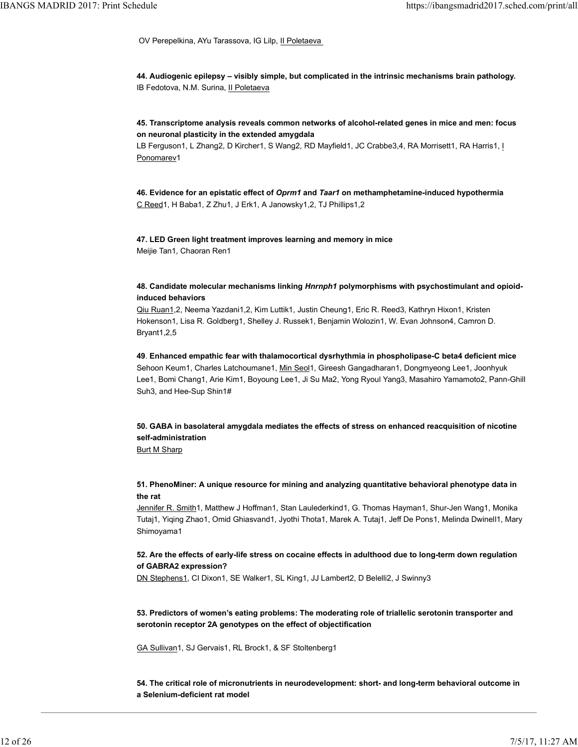OV Perepelkina, AYu Tarassova, IG Lilp, Il Poletaeva IBANGS MADRID 2017: Print Schedule https://ibangsmadrid2017.sched.com/print/all<br>
OV Perepelkina, AYu Tarassova, IG Lilp, <u>Il Poletaeva</u><br>
OV Perepelkina, AYu Tarassova, IG Lilp, <u>Il Poletaeva</u>

> 44. Audiogenic epilepsy – visibly simple, but complicated in the intrinsic mechanisms brain pathology. IB Fedotova, N.M. Surina, Il Poletaeva

> 45. Transcriptome analysis reveals common networks of alcohol-related genes in mice and men: focus on neuronal plasticity in the extended amygdala

LB Ferguson1, L Zhang2, D Kircher1, S Wang2, RD Mayfield1, JC Crabbe3,4, RA Morrisett1, RA Harris1, I Ponomarev1

46. Evidence for an epistatic effect of Oprm1 and Taar1 on methamphetamine-induced hypothermia C Reed1, H Baba1, Z Zhu1, J Erk1, A Janowsky1,2, TJ Phillips1,2

47. LED Green light treatment improves learning and memory in mice Meijie Tan1, Chaoran Ren1

# 48. Candidate molecular mechanisms linking Hnrnph1 polymorphisms with psychostimulant and opioidinduced behaviors

Qiu Ruan1,2, Neema Yazdani1,2, Kim Luttik1, Justin Cheung1, Eric R. Reed3, Kathryn Hixon1, Kristen Hokenson1, Lisa R. Goldberg1, Shelley J. Russek1, Benjamin Wolozin1, W. Evan Johnson4, Camron D. Bryant1,2,5

49. Enhanced empathic fear with thalamocortical dysrhythmia in phospholipase-C beta4 deficient mice Sehoon Keum1, Charles Latchoumane1, Min Seol1, Gireesh Gangadharan1, Dongmyeong Lee1, Joonhyuk Lee1, Bomi Chang1, Arie Kim1, Boyoung Lee1, Ji Su Ma2, Yong Ryoul Yang3, Masahiro Yamamoto2, Pann-Ghill Suh3, and Hee-Sup Shin1#

50. GABA in basolateral amygdala mediates the effects of stress on enhanced reacquisition of nicotine self-administration

**Burt M Sharp** 

51. PhenoMiner: A unique resource for mining and analyzing quantitative behavioral phenotype data in the rat

Jennifer R. Smith1, Matthew J Hoffman1, Stan Laulederkind1, G. Thomas Hayman1, Shur-Jen Wang1, Monika Tutaj1, Yiqing Zhao1, Omid Ghiasvand1, Jyothi Thota1, Marek A. Tutaj1, Jeff De Pons1, Melinda Dwinell1, Mary Shimoyama1 tre rat<br>
alentifier R. Smith I, Matthew J Hoffman1, Stan Laulederkind1, G. Thomas Hayman1, Shur-Jen Wang1, Monika<br>
Tutaj1, Yiqing Zhao1, Onid Ghiasvand1, Jyothi Thota1, Marek A. Tutaj1, Jeff De Pons1, Melinda Dwinel11, May

# 52. Are the effects of early-life stress on cocaine effects in adulthood due to long-term down regulation of GABRA2 expression?

DN Stephens1, CI Dixon1, SE Walker1, SL King1, JJ Lambert2, D Belelli2, J Swinny3

53. Predictors of women's eating problems: The moderating role of triallelic serotonin transporter and serotonin receptor 2A genotypes on the effect of objectification

GA Sullivan1, SJ Gervais1, RL Brock1, & SF Stoltenberg1

54. The critical role of micronutrients in neurodevelopment: short- and long-term behavioral outcome in a Selenium-deficient rat model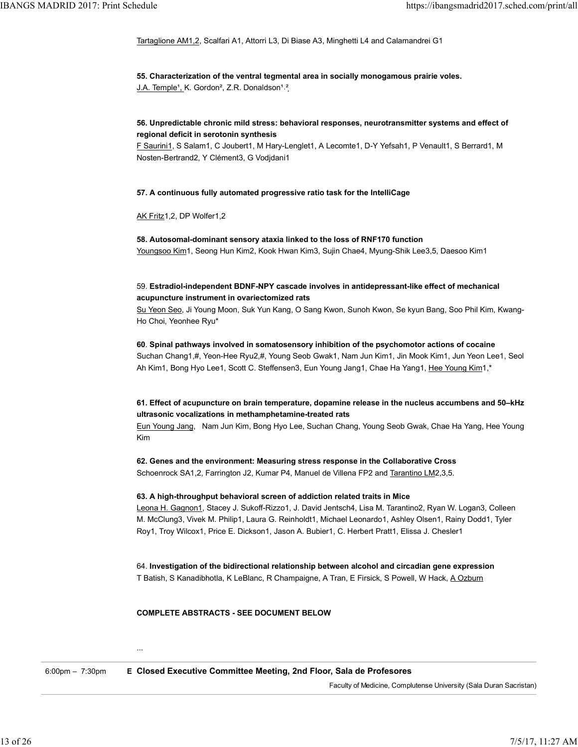Tartaglione AM1,2, Scalfari A1, Attorri L3, Di Biase A3, Minghetti L4 and Calamandrei G1 IBANGS MADRID 2017: Print Schedule https://ibangsmadrid2017.sched.com/print/all<br>Intaglione AM1,2, Scalfari A1, Attorri L3, Di Biase A3, Minghetti L4 and Calamandrei G1<br>Intaglione AM1,2, Scalfari A1, Attorri L3, Di Biase A3

> 55. Characterization of the ventral tegmental area in socially monogamous prairie voles. J.A. Temple<sup>1</sup>, K. Gordon<sup>2</sup>, Z.R. Donaldson<sup>1,2</sup>

# 56. Unpredictable chronic mild stress: behavioral responses, neurotransmitter systems and effect of regional deficit in serotonin synthesis

F Saurini1, S Salam1, C Joubert1, M Hary-Lenglet1, A Lecomte1, D-Y Yefsah1, P Venault1, S Berrard1, M Nosten-Bertrand2, Y Clément3, G Vodjdani1

# 57. A continuous fully automated progressive ratio task for the IntelliCage

AK Fritz1,2, DP Wolfer1,2

58. Autosomal-dominant sensory ataxia linked to the loss of RNF170 function Youngsoo Kim1, Seong Hun Kim2, Kook Hwan Kim3, Sujin Chae4, Myung-Shik Lee3,5, Daesoo Kim1

# 59. Estradiol-independent BDNF-NPY cascade involves in antidepressant-like effect of mechanical acupuncture instrument in ovariectomized rats

Su Yeon Seo, Ji Young Moon, Suk Yun Kang, O Sang Kwon, Sunoh Kwon, Se kyun Bang, Soo Phil Kim, Kwang-Ho Choi, Yeonhee Ryu\*

60. Spinal pathways involved in somatosensory inhibition of the psychomotor actions of cocaine Suchan Chang1,#, Yeon-Hee Ryu2,#, Young Seob Gwak1, Nam Jun Kim1, Jin Mook Kim1, Jun Yeon Lee1, Seol Ah Kim1, Bong Hyo Lee1, Scott C. Steffensen3, Eun Young Jang1, Chae Ha Yang1, Hee Young Kim1,\*

# 61. Effect of acupuncture on brain temperature, dopamine release in the nucleus accumbens and 50–kHz ultrasonic vocalizations in methamphetamine-treated rats

Eun Young Jang, Nam Jun Kim, Bong Hyo Lee, Suchan Chang, Young Seob Gwak, Chae Ha Yang, Hee Young Kim

62. Genes and the environment: Measuring stress response in the Collaborative Cross Schoenrock SA1,2, Farrington J2, Kumar P4, Manuel de Villena FP2 and Tarantino LM2,3,5.

### 63. A high-throughput behavioral screen of addiction related traits in Mice

Leona H. Gagnon1, Stacey J. Sukoff-Rizzo1, J. David Jentsch4, Lisa M. Tarantino2, Ryan W. Logan3, Colleen M. McClung3, Vivek M. Philip1, Laura G. Reinholdt1, Michael Leonardo1, Ashley Olsen1, Rainy Dodd1, Tyler Roy1, Troy Wilcox1, Price E. Dickson1, Jason A. Bubier1, C. Herbert Pratt1, Elissa J. Chesler1 95. A might-moughput benavioral screen or actorcion relations through the Microsoftent Christmas Christmas Christmas Christmas Christmas M. Teranino2, Ryan W. Logan3, Colleen M. McClung3, Vivek M. Philipt I, Laura G. Rein

64. Investigation of the bidirectional relationship between alcohol and circadian gene expression T Batish, S Kanadibhotla, K LeBlanc, R Champaigne, A Tran, E Firsick, S Powell, W Hack, A Ozburn

COMPLETE ABSTRACTS - SEE DOCUMENT BELOW

6:00pm – 7:30pm E Closed Executive Committee Meeting, 2nd Floor, Sala de Profesores

...

Faculty of Medicine, Complutense University (Sala Duran Sacristan)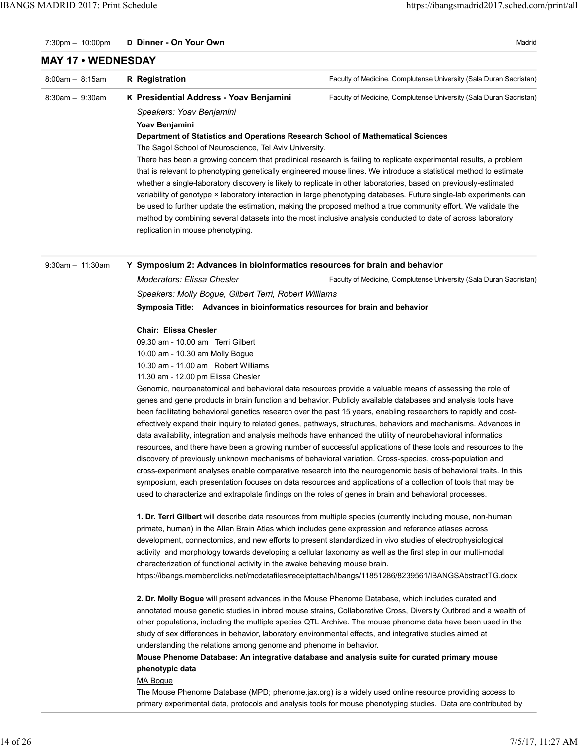Madrid

### 7:30pm - 10:00pm D Dinner - On Your Own

# MAY 17 • WEDNESDAY

| $8:00am - 8:15am$    | <b>R</b> Registration                                                            | Faculty of Medicine, Complutense University (Sala Duran Sacristan)                                                 |
|----------------------|----------------------------------------------------------------------------------|--------------------------------------------------------------------------------------------------------------------|
| $8:30$ am $-9:30$ am | K Presidential Address - Yoav Benjamini                                          | Faculty of Medicine, Complutense University (Sala Duran Sacristan)                                                 |
|                      | Speakers: Yoav Benjamini                                                         |                                                                                                                    |
|                      | Yoav Benjamini                                                                   |                                                                                                                    |
|                      | Department of Statistics and Operations Research School of Mathematical Sciences |                                                                                                                    |
|                      | The Sagol School of Neuroscience, Tel Aviv University.                           |                                                                                                                    |
|                      |                                                                                  | There has been a growing concern that preclinical research is failing to replicate experimental results, a problem |
|                      |                                                                                  | that is relevant to phenotyping genetically engineered mouse lines. We introduce a statistical method to estimate  |
|                      |                                                                                  | whether a single-laboratory discovery is likely to replicate in other laboratories, based on previously-estimated  |
|                      |                                                                                  | variability of genotype × laboratory interaction in large phenotyping databases. Future single-lab experiments can |
|                      |                                                                                  | be used to further update the estimation, making the proposed method a true community effort. We validate the      |
|                      |                                                                                  | method by combining several datasets into the most inclusive analysis conducted to date of across laboratory       |
|                      | replication in mouse phenotyping.                                                |                                                                                                                    |

9:30am – 11:30am Y Symposium 2: Advances in bioinformatics resources for brain and behavior

Faculty of Medicine, Complutense University (Sala Duran Sacristan) Moderators: Elissa Chesler Speakers: Molly Bogue, Gilbert Terri, Robert Williams Symposia Title: Advances in bioinformatics resources for brain and behavior

### Chair: Elissa Chesler

09.30 am - 10.00 am Terri Gilbert 10.00 am - 10.30 am Molly Bogue

10.30 am - 11.00 am Robert Williams

11.30 am - 12.00 pm Elissa Chesler

Genomic, neuroanatomical and behavioral data resources provide a valuable means of assessing the role of genes and gene products in brain function and behavior. Publicly available databases and analysis tools have been facilitating behavioral genetics research over the past 15 years, enabling researchers to rapidly and costeffectively expand their inquiry to related genes, pathways, structures, behaviors and mechanisms. Advances in data availability, integration and analysis methods have enhanced the utility of neurobehavioral informatics resources, and there have been a growing number of successful applications of these tools and resources to the discovery of previously unknown mechanisms of behavioral variation. Cross-species, cross-population and cross-experiment analyses enable comparative research into the neurogenomic basis of behavioral traits. In this symposium, each presentation focuses on data resources and applications of a collection of tools that may be used to characterize and extrapolate findings on the roles of genes in brain and behavioral processes.

1. Dr. Terri Gilbert will describe data resources from multiple species (currently including mouse, non-human primate, human) in the Allan Brain Atlas which includes gene expression and reference atlases across development, connectomics, and new efforts to present standardized in vivo studies of electrophysiological activity and morphology towards developing a cellular taxonomy as well as the first step in our multi-modal characterization of functional activity in the awake behaving mouse brain.

https://ibangs.memberclicks.net/mcdatafiles/receiptattach/ibangs/11851286/8239561/IBANGSAbstractTG.docx

2. Dr. Molly Bogue will present advances in the Mouse Phenome Database, which includes curated and annotated mouse genetic studies in inbred mouse strains, Collaborative Cross, Diversity Outbred and a wealth of other populations, including the multiple species QTL Archive. The mouse phenome data have been used in the study of sex differences in behavior, laboratory environmental effects, and integrative studies aimed at understanding the relations among genome and phenome in behavior. 1. Dr. Terri Silibert will describe data resources from multiple species (currently including mouse, non-human<br>primale, human) in the Allan Brain Allas which includes gene expression and reference allases across<br>developmen

Mouse Phenome Database: An integrative database and analysis suite for curated primary mouse phenotypic data

MA Bogue

The Mouse Phenome Database (MPD; phenome.jax.org) is a widely used online resource providing access to primary experimental data, protocols and analysis tools for mouse phenotyping studies. Data are contributed by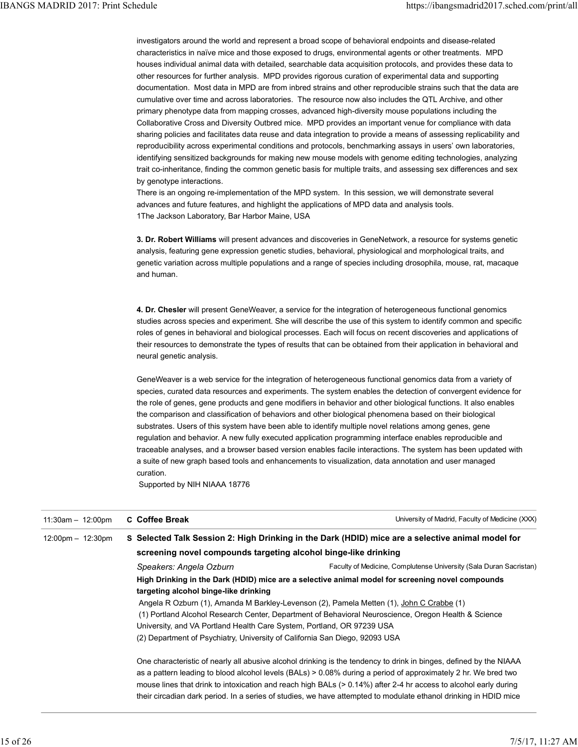investigators around the world and represent a broad scope of behavioral endpoints and disease-related characteristics in naïve mice and those exposed to drugs, environmental agents or other treatments. MPD houses individual animal data with detailed, searchable data acquisition protocols, and provides these data to other resources for further analysis. MPD provides rigorous curation of experimental data and supporting documentation. Most data in MPD are from inbred strains and other reproducible strains such that the data are cumulative over time and across laboratories. The resource now also includes the QTL Archive, and other primary phenotype data from mapping crosses, advanced high-diversity mouse populations including the Collaborative Cross and Diversity Outbred mice. MPD provides an important venue for compliance with data sharing policies and facilitates data reuse and data integration to provide a means of assessing replicability and reproducibility across experimental conditions and protocols, benchmarking assays in users' own laboratories, identifying sensitized backgrounds for making new mouse models with genome editing technologies, analyzing trait co-inheritance, finding the common genetic basis for multiple traits, and assessing sex differences and sex by genotype interactions. IBANGS MADRID 2017: Print Schedule<br>investigators around the world and represent a broad scope of behavioral endpoints and disease-related<br>characteristics in naïve mice and those exposed to drugs, environmental agents or ot

> There is an ongoing re-implementation of the MPD system. In this session, we will demonstrate several advances and future features, and highlight the applications of MPD data and analysis tools. 1The Jackson Laboratory, Bar Harbor Maine, USA

3. Dr. Robert Williams will present advances and discoveries in GeneNetwork, a resource for systems genetic analysis, featuring gene expression genetic studies, behavioral, physiological and morphological traits, and genetic variation across multiple populations and a range of species including drosophila, mouse, rat, macaque and human.

4. Dr. Chesler will present GeneWeaver, a service for the integration of heterogeneous functional genomics studies across species and experiment. She will describe the use of this system to identify common and specific roles of genes in behavioral and biological processes. Each will focus on recent discoveries and applications of their resources to demonstrate the types of results that can be obtained from their application in behavioral and neural genetic analysis.

GeneWeaver is a web service for the integration of heterogeneous functional genomics data from a variety of species, curated data resources and experiments. The system enables the detection of convergent evidence for the role of genes, gene products and gene modifiers in behavior and other biological functions. It also enables the comparison and classification of behaviors and other biological phenomena based on their biological substrates. Users of this system have been able to identify multiple novel relations among genes, gene regulation and behavior. A new fully executed application programming interface enables reproducible and traceable analyses, and a browser based version enables facile interactions. The system has been updated with a suite of new graph based tools and enhancements to visualization, data annotation and user managed curation.

Supported by NIH NIAAA 18776

|                                     | <b>C</b> Coffee Break                                                                                            | University of Madrid, Faculty of Medicine (XXX)                                                                    |  |
|-------------------------------------|------------------------------------------------------------------------------------------------------------------|--------------------------------------------------------------------------------------------------------------------|--|
| $12:00 \text{pm} - 12:30 \text{pm}$ |                                                                                                                  | S Selected Talk Session 2: High Drinking in the Dark (HDID) mice are a selective animal model for                  |  |
|                                     | screening novel compounds targeting alcohol binge-like drinking                                                  |                                                                                                                    |  |
|                                     | Speakers: Angela Ozburn                                                                                          | Faculty of Medicine, Complutense University (Sala Duran Sacristan)                                                 |  |
|                                     | targeting alcohol binge-like drinking                                                                            | High Drinking in the Dark (HDID) mice are a selective animal model for screening novel compounds                   |  |
|                                     | Angela R Ozburn (1), Amanda M Barkley-Levenson (2), Pamela Metten (1), John C Crabbe (1)                         |                                                                                                                    |  |
|                                     | (1) Portland Alcohol Research Center, Department of Behavioral Neuroscience, Oregon Health & Science             |                                                                                                                    |  |
|                                     | University, and VA Portland Health Care System, Portland, OR 97239 USA                                           |                                                                                                                    |  |
|                                     | (2) Department of Psychiatry, University of California San Diego, 92093 USA                                      |                                                                                                                    |  |
|                                     |                                                                                                                  | One characteristic of nearly all abusive alcohol drinking is the tendency to drink in binges, defined by the NIAAA |  |
|                                     | as a pattern leading to blood alcohol levels (BALs) > 0.08% during a period of approximately 2 hr. We bred two   |                                                                                                                    |  |
|                                     | mouse lines that drink to intoxication and reach high BALs (> 0.14%) after 2-4 hr access to alcohol early during |                                                                                                                    |  |
|                                     |                                                                                                                  | their circadian dark period. In a series of studies, we have attempted to modulate ethanol drinking in HDID mice   |  |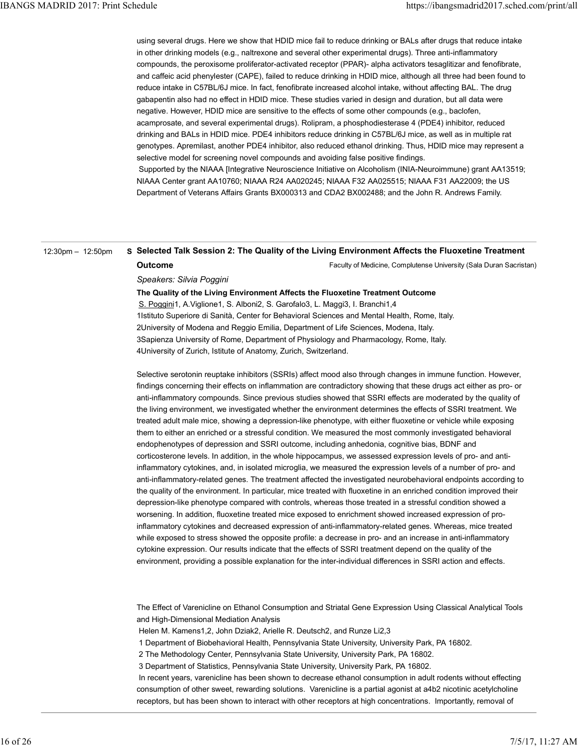using several drugs. Here we show that HDID mice fail to reduce drinking or BALs after drugs that reduce intake in other drinking models (e.g., naltrexone and several other experimental drugs). Three anti-inflammatory compounds, the peroxisome proliferator-activated receptor (PPAR)- alpha activators tesaglitizar and fenofibrate, and caffeic acid phenylester (CAPE), failed to reduce drinking in HDID mice, although all three had been found to reduce intake in C57BL/6J mice. In fact, fenofibrate increased alcohol intake, without affecting BAL. The drug gabapentin also had no effect in HDID mice. These studies varied in design and duration, but all data were negative. However, HDID mice are sensitive to the effects of some other compounds (e.g., baclofen, acamprosate, and several experimental drugs). Rolipram, a phosphodiesterase 4 (PDE4) inhibitor, reduced drinking and BALs in HDID mice. PDE4 inhibitors reduce drinking in C57BL/6J mice, as well as in multiple rat genotypes. Apremilast, another PDE4 inhibitor, also reduced ethanol drinking. Thus, HDID mice may represent a selective model for screening novel compounds and avoiding false positive findings. IBANGS MADRID 2017: Print Schedule<br>using several drugs. Here we show that HDID mice fail to reduce drinking or BALs after drugs that reduce intake<br>in other drinking models (e.g., naltrexone and several other experimental d

 Supported by the NIAAA [Integrative Neuroscience Initiative on Alcoholism (INIA-Neuroimmune) grant AA13519; NIAAA Center grant AA10760; NIAAA R24 AA020245; NIAAA F32 AA025515; NIAAA F31 AA22009; the US Department of Veterans Affairs Grants BX000313 and CDA2 BX002488; and the John R. Andrews Family.

### 12:30pm – 12:50pm S Selected Talk Session 2: The Quality of the Living Environment Affects the Fluoxetine Treatment

# **Outcome**

Faculty of Medicine, Complutense University (Sala Duran Sacristan)

Speakers: Silvia Poggini

The Quality of the Living Environment Affects the Fluoxetine Treatment Outcome

S. Poggini1, A. Viglione1, S. Alboni2, S. Garofalo3, L. Maggi3, I. Branchi1,4 1Istituto Superiore di Sanità, Center for Behavioral Sciences and Mental Health, Rome, Italy. 2University of Modena and Reggio Emilia, Department of Life Sciences, Modena, Italy. 3Sapienza University of Rome, Department of Physiology and Pharmacology, Rome, Italy. 4University of Zurich, Istitute of Anatomy, Zurich, Switzerland.

Selective serotonin reuptake inhibitors (SSRIs) affect mood also through changes in immune function. However, findings concerning their effects on inflammation are contradictory showing that these drugs act either as pro- or anti-inflammatory compounds. Since previous studies showed that SSRI effects are moderated by the quality of the living environment, we investigated whether the environment determines the effects of SSRI treatment. We treated adult male mice, showing a depression-like phenotype, with either fluoxetine or vehicle while exposing them to either an enriched or a stressful condition. We measured the most commonly investigated behavioral endophenotypes of depression and SSRI outcome, including anhedonia, cognitive bias, BDNF and corticosterone levels. In addition, in the whole hippocampus, we assessed expression levels of pro- and antiinflammatory cytokines, and, in isolated microglia, we measured the expression levels of a number of pro- and anti-inflammatory-related genes. The treatment affected the investigated neurobehavioral endpoints according to the quality of the environment. In particular, mice treated with fluoxetine in an enriched condition improved their depression-like phenotype compared with controls, whereas those treated in a stressful condition showed a worsening. In addition, fluoxetine treated mice exposed to enrichment showed increased expression of proinflammatory cytokines and decreased expression of anti-inflammatory-related genes. Whereas, mice treated while exposed to stress showed the opposite profile: a decrease in pro- and an increase in anti-inflammatory cytokine expression. Our results indicate that the effects of SSRI treatment depend on the quality of the environment, providing a possible explanation for the inter-individual differences in SSRI action and effects. depression-like phenotype compared with controls, whereas those treated in a stressful condition showed a<br>worsching. In addition, fluoxeline treated mice exposed to enrichment showed increased expression of pro-<br>inflammato

The Effect of Varenicline on Ethanol Consumption and Striatal Gene Expression Using Classical Analytical Tools and High-Dimensional Mediation Analysis

Helen M. Kamens1,2, John Dziak2, Arielle R. Deutsch2, and Runze Li2,3

1 Department of Biobehavioral Health, Pennsylvania State University, University Park, PA 16802.

2 The Methodology Center, Pennsylvania State University, University Park, PA 16802.

3 Department of Statistics, Pennsylvania State University, University Park, PA 16802.

 In recent years, varenicline has been shown to decrease ethanol consumption in adult rodents without effecting consumption of other sweet, rewarding solutions. Varenicline is a partial agonist at a4b2 nicotinic acetylcholine receptors, but has been shown to interact with other receptors at high concentrations. Importantly, removal of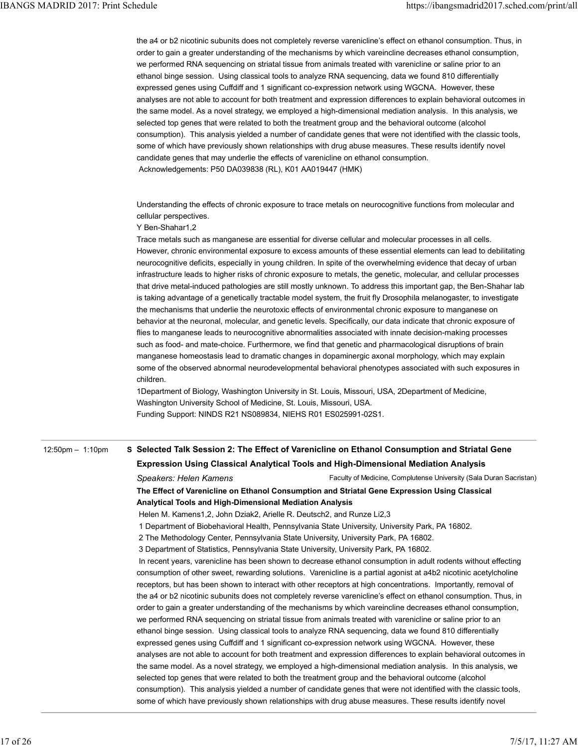the a4 or b2 nicotinic subunits does not completely reverse varenicline's effect on ethanol consumption. Thus, in order to gain a greater understanding of the mechanisms by which vareincline decreases ethanol consumption, we performed RNA sequencing on striatal tissue from animals treated with varenicline or saline prior to an ethanol binge session. Using classical tools to analyze RNA sequencing, data we found 810 differentially expressed genes using Cuffdiff and 1 significant co-expression network using WGCNA. However, these analyses are not able to account for both treatment and expression differences to explain behavioral outcomes in the same model. As a novel strategy, we employed a high-dimensional mediation analysis. In this analysis, we selected top genes that were related to both the treatment group and the behavioral outcome (alcohol consumption). This analysis yielded a number of candidate genes that were not identified with the classic tools, some of which have previously shown relationships with drug abuse measures. These results identify novel candidate genes that may underlie the effects of varenicline on ethanol consumption. Acknowledgements: P50 DA039838 (RL), K01 AA019447 (HMK) IBANGS MADRID 2017: Print Schedule<br>the a4 or b2 nicotinic subunits does not completely reverse varenicline's effect on ethanol consumption. Thus, in<br>order to gain a greater understanding of the mechanisms by which vareincl

> Understanding the effects of chronic exposure to trace metals on neurocognitive functions from molecular and cellular perspectives.

Y Ben-Shahar1,2

Trace metals such as manganese are essential for diverse cellular and molecular processes in all cells. However, chronic environmental exposure to excess amounts of these essential elements can lead to debilitating neurocognitive deficits, especially in young children. In spite of the overwhelming evidence that decay of urban infrastructure leads to higher risks of chronic exposure to metals, the genetic, molecular, and cellular processes that drive metal-induced pathologies are still mostly unknown. To address this important gap, the Ben-Shahar lab is taking advantage of a genetically tractable model system, the fruit fly Drosophila melanogaster, to investigate the mechanisms that underlie the neurotoxic effects of environmental chronic exposure to manganese on behavior at the neuronal, molecular, and genetic levels. Specifically, our data indicate that chronic exposure of flies to manganese leads to neurocognitive abnormalities associated with innate decision-making processes such as food- and mate-choice. Furthermore, we find that genetic and pharmacological disruptions of brain manganese homeostasis lead to dramatic changes in dopaminergic axonal morphology, which may explain some of the observed abnormal neurodevelopmental behavioral phenotypes associated with such exposures in children.

1Department of Biology, Washington University in St. Louis, Missouri, USA, 2Department of Medicine, Washington University School of Medicine, St. Louis, Missouri, USA. Funding Support: NINDS R21 NS089834, NIEHS R01 ES025991-02S1.

# 12:50pm – 1:10pm S Selected Talk Session 2: The Effect of Varenicline on Ethanol Consumption and Striatal Gene Expression Using Classical Analytical Tools and High-Dimensional Mediation Analysis

Faculty of Medicine, Complutense University (Sala Duran Sacristan) Speakers: Helen Kamens

The Effect of Varenicline on Ethanol Consumption and Striatal Gene Expression Using Classical Analytical Tools and High-Dimensional Mediation Analysis

Helen M. Kamens1,2, John Dziak2, Arielle R. Deutsch2, and Runze Li2,3

1 Department of Biobehavioral Health, Pennsylvania State University, University Park, PA 16802.

2 The Methodology Center, Pennsylvania State University, University Park, PA 16802.

3 Department of Statistics, Pennsylvania State University, University Park, PA 16802.

 In recent years, varenicline has been shown to decrease ethanol consumption in adult rodents without effecting consumption of other sweet, rewarding solutions. Varenicline is a partial agonist at a4b2 nicotinic acetylcholine receptors, but has been shown to interact with other receptors at high concentrations. Importantly, removal of the a4 or b2 nicotinic subunits does not completely reverse varenicline's effect on ethanol consumption. Thus, in order to gain a greater understanding of the mechanisms by which vareincline decreases ethanol consumption, we performed RNA sequencing on striatal tissue from animals treated with varenicline or saline prior to an ethanol binge session. Using classical tools to analyze RNA sequencing, data we found 810 differentially expressed genes using Cuffdiff and 1 significant co-expression network using WGCNA. However, these analyses are not able to account for both treatment and expression differences to explain behavioral outcomes in the same model. As a novel strategy, we employed a high-dimensional mediation analysis. In this analysis, we selected top genes that were related to both the treatment group and the behavioral outcome (alcohol consumption). This analysis yielded a number of candidate genes that were not identified with the classic tools, some of which have previously shown relationships with drug abuse measures. These results identify novel Analytical Tools and High-Dimensional Mediation Analysis<br>
Helen M. Kamens 12., John Dziak2, Arlelle R. Deutschz, and Runze Li2.3<br>
1 Department of Biobehavioral Health, Piernsylvania State University, University Park, PA 16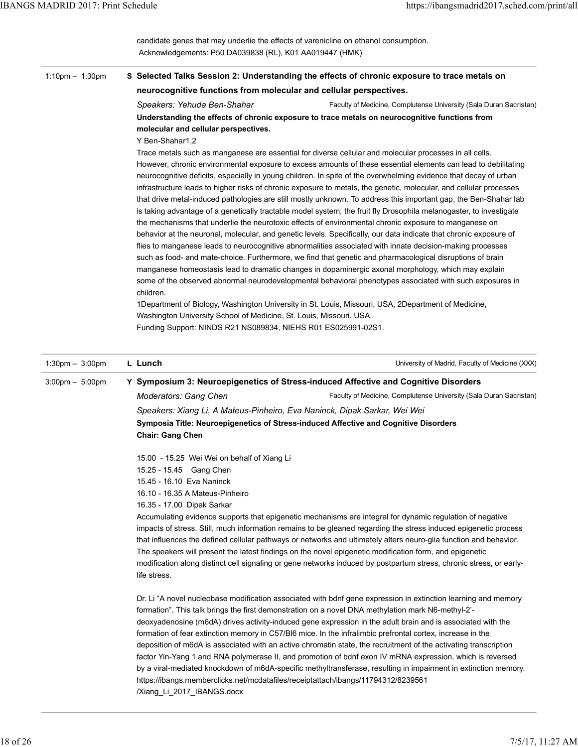| <b>IBANGS MADRID 2017: Print Schedule</b> |                                                                                                                                                                                                                                             |
|-------------------------------------------|---------------------------------------------------------------------------------------------------------------------------------------------------------------------------------------------------------------------------------------------|
|                                           | https://ibangsmadrid2017.sched.com/print/all                                                                                                                                                                                                |
|                                           | candidate genes that may underlie the effects of varenicline on ethanol consumption.<br>Acknowledgements: P50 DA039838 (RL), K01 AA019447 (HMK)                                                                                             |
| 1:10pm $-$ 1:30pm                         | S Selected Talks Session 2: Understanding the effects of chronic exposure to trace metals on<br>neurocognitive functions from molecular and cellular perspectives.                                                                          |
|                                           | Faculty of Medicine, Complutense University (Sala Duran Sacristan)<br>Speakers: Yehuda Ben-Shahar                                                                                                                                           |
|                                           | Understanding the effects of chronic exposure to trace metals on neurocognitive functions from<br>molecular and cellular perspectives.                                                                                                      |
|                                           | Y Ben-Shahar1,2<br>Trace metals such as manganese are essential for diverse cellular and molecular processes in all cells.                                                                                                                  |
|                                           | However, chronic environmental exposure to excess amounts of these essential elements can lead to debilitating                                                                                                                              |
|                                           | neurocognitive deficits, especially in young children. In spite of the overwhelming evidence that decay of urban<br>infrastructure leads to higher risks of chronic exposure to metals, the genetic, molecular, and cellular processes      |
|                                           | that drive metal-induced pathologies are still mostly unknown. To address this important gap, the Ben-Shahar lab<br>is taking advantage of a genetically tractable model system, the fruit fly Drosophila melanogaster, to investigate      |
|                                           | the mechanisms that underlie the neurotoxic effects of environmental chronic exposure to manganese on<br>behavior at the neuronal, molecular, and genetic levels. Specifically, our data indicate that chronic exposure of                  |
|                                           | flies to manganese leads to neurocognitive abnormalities associated with innate decision-making processes                                                                                                                                   |
|                                           | such as food- and mate-choice. Furthermore, we find that genetic and pharmacological disruptions of brain<br>manganese homeostasis lead to dramatic changes in dopaminergic axonal morphology, which may explain                            |
|                                           | some of the observed abnormal neurodevelopmental behavioral phenotypes associated with such exposures in<br>children.                                                                                                                       |
|                                           | 1Department of Biology, Washington University in St. Louis, Missouri, USA, 2Department of Medicine,<br>Washington University School of Medicine, St. Louis, Missouri, USA.<br>Funding Support: NINDS R21 NS089834, NIEHS R01 ES025991-02S1. |
| $1:30 \text{pm} - 3:00 \text{pm}$         | L Lunch<br>University of Madrid, Faculty of Medicine (XXX)                                                                                                                                                                                  |
| $3:00 \text{pm} - 5:00 \text{pm}$         | Y Symposium 3: Neuroepigenetics of Stress-induced Affective and Cognitive Disorders                                                                                                                                                         |
|                                           | Moderators: Gang Chen<br>Faculty of Medicine, Complutense University (Sala Duran Sacristan)<br>Speakers: Xiang Li, A Mateus-Pinheiro, Eva Naninck, Dipak Sarkar, Wei Wei                                                                    |
|                                           | Symposia Title: Neuroepigenetics of Stress-induced Affective and Cognitive Disorders<br><b>Chair: Gang Chen</b>                                                                                                                             |
|                                           | 15.00 - 15.25 Wei Wei on behalf of Xiang Li                                                                                                                                                                                                 |
|                                           | 15.25 - 15.45 Gang Chen<br>15.45 - 16.10 Eva Naninck                                                                                                                                                                                        |
|                                           | 16.10 - 16.35 A Mateus-Pinheiro<br>16.35 - 17.00 Dipak Sarkar                                                                                                                                                                               |
|                                           | Accumulating evidence supports that epigenetic mechanisms are integral for dynamic regulation of negative                                                                                                                                   |
|                                           | impacts of stress. Still, much information remains to be gleaned regarding the stress induced epigenetic process<br>that influences the defined cellular pathways or networks and ultimately alters neuro-glia function and behavior.       |
|                                           | The speakers will present the latest findings on the novel epigenetic modification form, and epigenetic<br>modification along distinct cell signaling or gene networks induced by postpartum stress, chronic stress, or early-              |
|                                           | life stress.                                                                                                                                                                                                                                |
|                                           | Dr. Li "A novel nucleobase modification associated with bdnf gene expression in extinction learning and memory                                                                                                                              |
|                                           | formation". This talk brings the first demonstration on a novel DNA methylation mark N6-methyl-2'-<br>deoxyadenosine (m6dA) drives activity-induced gene expression in the adult brain and is associated with the                           |
|                                           | formation of fear extinction memory in C57/Bl6 mice. In the infralimbic prefrontal cortex, increase in the<br>deposition of m6dA is associated with an active chromatin state, the recruitment of the activating transcription              |
|                                           | factor Yin-Yang 1 and RNA polymerase II, and promotion of bdnf exon IV mRNA expression, which is reversed                                                                                                                                   |
|                                           | by a viral-mediated knockdown of m6dA-specific methyltransferase, resulting in impairment in extinction memory.<br>https://ibangs.memberclicks.net/mcdatafiles/receiptattach/ibangs/11794312/8239561                                        |
|                                           | /Xiang_Li_2017_IBANGS.docx                                                                                                                                                                                                                  |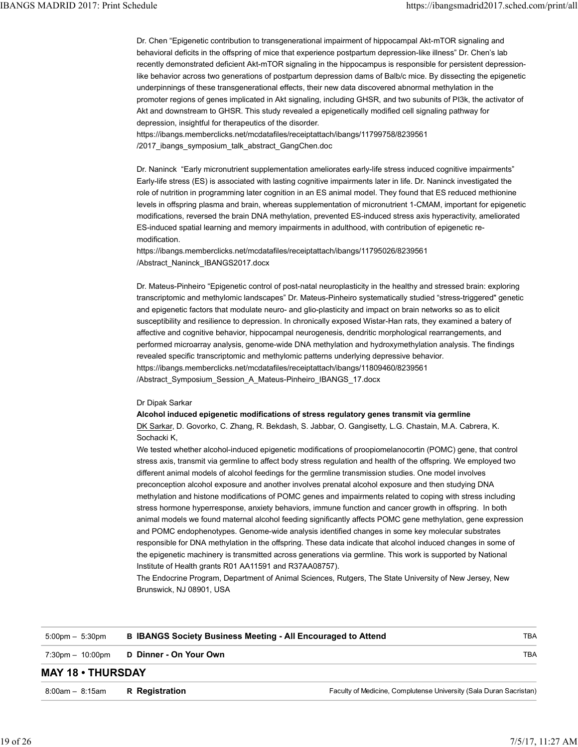Dr. Chen "Epigenetic contribution to transgenerational impairment of hippocampal Akt-mTOR signaling and behavioral deficits in the offspring of mice that experience postpartum depression-like illness" Dr. Chen's lab recently demonstrated deficient Akt-mTOR signaling in the hippocampus is responsible for persistent depressionlike behavior across two generations of postpartum depression dams of Balb/c mice. By dissecting the epigenetic underpinnings of these transgenerational effects, their new data discovered abnormal methylation in the promoter regions of genes implicated in Akt signaling, including GHSR, and two subunits of PI3k, the activator of Akt and downstream to GHSR. This study revealed a epigenetically modified cell signaling pathway for depression, insightful for therapeutics of the disorder. IBANGS MADRID 2017: Print Schedule<br>Dr. Chen "Epigenetic contribution to transgenerational impairment of hippocampal Akt-mTOR signaling and<br>Dr. Chen "Epigenetic contribution to transgenerational impairment of hippocampal Ak

https://ibangs.memberclicks.net/mcdatafiles/receiptattach/ibangs/11799758/8239561 /2017 ibangs symposium talk abstract GangChen.doc

Dr. Naninck "Early micronutrient supplementation ameliorates early-life stress induced cognitive impairments" Early-life stress (ES) is associated with lasting cognitive impairments later in life. Dr. Naninck investigated the role of nutrition in programming later cognition in an ES animal model. They found that ES reduced methionine levels in offspring plasma and brain, whereas supplementation of micronutrient 1-CMAM, important for epigenetic modifications, reversed the brain DNA methylation, prevented ES-induced stress axis hyperactivity, ameliorated ES-induced spatial learning and memory impairments in adulthood, with contribution of epigenetic remodification.

https://ibangs.memberclicks.net/mcdatafiles/receiptattach/ibangs/11795026/8239561 /Abstract\_Naninck\_IBANGS2017.docx

Dr. Mateus-Pinheiro "Epigenetic control of post-natal neuroplasticity in the healthy and stressed brain: exploring transcriptomic and methylomic landscapes" Dr. Mateus-Pinheiro systematically studied "stress-triggered" genetic and epigenetic factors that modulate neuro- and glio-plasticity and impact on brain networks so as to elicit susceptibility and resilience to depression. In chronically exposed Wistar-Han rats, they examined a batery of affective and cognitive behavior, hippocampal neurogenesis, dendritic morphological rearrangements, and performed microarray analysis, genome-wide DNA methylation and hydroxymethylation analysis. The findings revealed specific transcriptomic and methylomic patterns underlying depressive behavior. https://ibangs.memberclicks.net/mcdatafiles/receiptattach/ibangs/11809460/8239561 /Abstract\_Symposium\_Session\_A\_Mateus-Pinheiro\_IBANGS\_17.docx

# Dr Dipak Sarkar

Alcohol induced epigenetic modifications of stress regulatory genes transmit via germline DK Sarkar, D. Govorko, C. Zhang, R. Bekdash, S. Jabbar, O. Gangisetty, L.G. Chastain, M.A. Cabrera, K. Sochacki K,

We tested whether alcohol-induced epigenetic modifications of proopiomelanocortin (POMC) gene, that control stress axis, transmit via germline to affect body stress regulation and health of the offspring. We employed two different animal models of alcohol feedings for the germline transmission studies. One model involves preconception alcohol exposure and another involves prenatal alcohol exposure and then studying DNA methylation and histone modifications of POMC genes and impairments related to coping with stress including stress hormone hyperresponse, anxiety behaviors, immune function and cancer growth in offspring. In both animal models we found maternal alcohol feeding significantly affects POMC gene methylation, gene expression and POMC endophenotypes. Genome-wide analysis identified changes in some key molecular substrates responsible for DNA methylation in the offspring. These data indicate that alcohol induced changes in some of the epigenetic machinery is transmitted across generations via germline. This work is supported by National Institute of Health grants R01 AA11591 and R37AA08757).

|                                    | Institute of Health grants R01 AA11591 and R37AA08757).<br>Brunswick, NJ 08901, USA | The argument and historic modifications of POMC genes and impairments related to coping with stress including<br>stress hormone hyperresponse, anxiety behaviors, immune function and cancer growth in offspring. In both<br>animal models we found maternal alcohol feeding significantly affects POMC gene methylation, gene expression<br>and POMC endophenotypes. Genome-wide analysis identified changes in some key molecular substrates<br>responsible for DNA methylation in the offspring. These data indicate that alcohol induced changes in some of<br>the epigenetic machinery is transmitted across generations via germline. This work is supported by National<br>The Endocrine Program, Department of Animal Sciences, Rutgers, The State University of New Jersey, New |            |
|------------------------------------|-------------------------------------------------------------------------------------|------------------------------------------------------------------------------------------------------------------------------------------------------------------------------------------------------------------------------------------------------------------------------------------------------------------------------------------------------------------------------------------------------------------------------------------------------------------------------------------------------------------------------------------------------------------------------------------------------------------------------------------------------------------------------------------------------------------------------------------------------------------------------------------|------------|
| $5:00$ pm $- 5:30$ pm              |                                                                                     | <b>B IBANGS Society Business Meeting - All Encouraged to Attend</b>                                                                                                                                                                                                                                                                                                                                                                                                                                                                                                                                                                                                                                                                                                                      | <b>TBA</b> |
| $7:30 \text{pm} - 10:00 \text{pm}$ | D Dinner - On Your Own                                                              |                                                                                                                                                                                                                                                                                                                                                                                                                                                                                                                                                                                                                                                                                                                                                                                          | <b>TBA</b> |
| <b>MAY 18 • THURSDAY</b>           |                                                                                     |                                                                                                                                                                                                                                                                                                                                                                                                                                                                                                                                                                                                                                                                                                                                                                                          |            |
| $8:00am - 8:15am$                  | R Registration                                                                      | Faculty of Medicine, Complutense University (Sala Duran Sacristan)                                                                                                                                                                                                                                                                                                                                                                                                                                                                                                                                                                                                                                                                                                                       |            |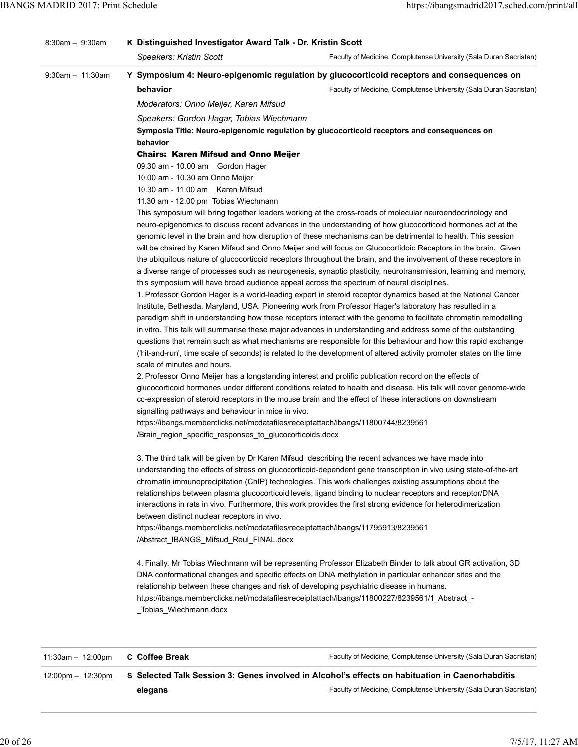|                   | Speakers: Gordon Hagar, Tobias Wiechmann<br>Symposia Title: Neuro-epigenomic regulation by glucocorticoid receptors and consequences on<br>behavior                                                                                  |  |
|-------------------|--------------------------------------------------------------------------------------------------------------------------------------------------------------------------------------------------------------------------------------|--|
|                   | <b>Chairs: Karen Mifsud and Onno Meijer</b><br>09.30 am - 10.00 am Gordon Hager                                                                                                                                                      |  |
|                   | 10.00 am - 10.30 am Onno Meijer<br>10.30 am - 11.00 am Karen Mifsud                                                                                                                                                                  |  |
|                   | 11.30 am - 12.00 pm Tobias Wiechmann<br>This symposium will bring together leaders working at the cross-roads of molecular neuroendocrinology and                                                                                    |  |
|                   | neuro-epigenomics to discuss recent advances in the understanding of how glucocorticoid hormones act at the<br>genomic level in the brain and how disruption of these mechanisms can be detrimental to health. This session          |  |
|                   | will be chaired by Karen Mifsud and Onno Meijer and will focus on Glucocortidoic Receptors in the brain. Given                                                                                                                       |  |
|                   | the ubiquitous nature of glucocorticoid receptors throughout the brain, and the involvement of these receptors in<br>a diverse range of processes such as neurogenesis, synaptic plasticity, neurotransmission, learning and memory, |  |
|                   | this symposium will have broad audience appeal across the spectrum of neural disciplines.                                                                                                                                            |  |
|                   | 1. Professor Gordon Hager is a world-leading expert in steroid receptor dynamics based at the National Cancer<br>Institute, Bethesda, Maryland, USA. Pioneering work from Professor Hager's laboratory has resulted in a             |  |
|                   | paradigm shift in understanding how these receptors interact with the genome to facilitate chromatin remodelling                                                                                                                     |  |
|                   | in vitro. This talk will summarise these major advances in understanding and address some of the outstanding<br>questions that remain such as what mechanisms are responsible for this behaviour and how this rapid exchange         |  |
|                   | ('hit-and-run', time scale of seconds) is related to the development of altered activity promoter states on the time                                                                                                                 |  |
|                   | scale of minutes and hours.<br>2. Professor Onno Meijer has a longstanding interest and prolific publication record on the effects of                                                                                                |  |
|                   | glucocorticoid hormones under different conditions related to health and disease. His talk will cover genome-wide                                                                                                                    |  |
|                   | co-expression of steroid receptors in the mouse brain and the effect of these interactions on downstream<br>signalling pathways and behaviour in mice in vivo.                                                                       |  |
|                   | https://ibangs.memberclicks.net/mcdatafiles/receiptattach/ibangs/11800744/8239561<br>/Brain_region_specific_responses_to_glucocorticoids.docx                                                                                        |  |
|                   | 3. The third talk will be given by Dr Karen Mifsud describing the recent advances we have made into<br>understanding the effects of stress on glucocorticoid-dependent gene transcription in vivo using state-of-the-art             |  |
|                   | chromatin immunoprecipitation (ChIP) technologies. This work challenges existing assumptions about the                                                                                                                               |  |
|                   | relationships between plasma glucocorticoid levels, ligand binding to nuclear receptors and receptor/DNA<br>interactions in rats in vivo. Furthermore, this work provides the first strong evidence for heterodimerization           |  |
|                   | between distinct nuclear receptors in vivo.                                                                                                                                                                                          |  |
|                   | https://ibangs.memberclicks.net/mcdatafiles/receiptattach/ibangs/11795913/8239561<br>/Abstract IBANGS Mifsud Reul FINAL.docx                                                                                                         |  |
|                   | 4. Finally, Mr Tobias Wiechmann will be representing Professor Elizabeth Binder to talk about GR activation, 3D                                                                                                                      |  |
|                   | DNA conformational changes and specific effects on DNA methylation in particular enhancer sites and the                                                                                                                              |  |
|                   | relationship between these changes and risk of developing psychiatric disease in humans.<br>https://ibangs.memberclicks.net/mcdatafiles/receiptattach/ibangs/11800227/8239561/1_Abstract_-<br>_Tobias_Wiechmann.docx                 |  |
|                   |                                                                                                                                                                                                                                      |  |
| 11:30am - 12:00pm | C Coffee Break<br>Faculty of Medicine, Complutense University (Sala Duran Sacristan)                                                                                                                                                 |  |
| 12:00pm - 12:30pm | S Selected Talk Session 3: Genes involved in Alcohol's effects on habituation in Caenorhabditis                                                                                                                                      |  |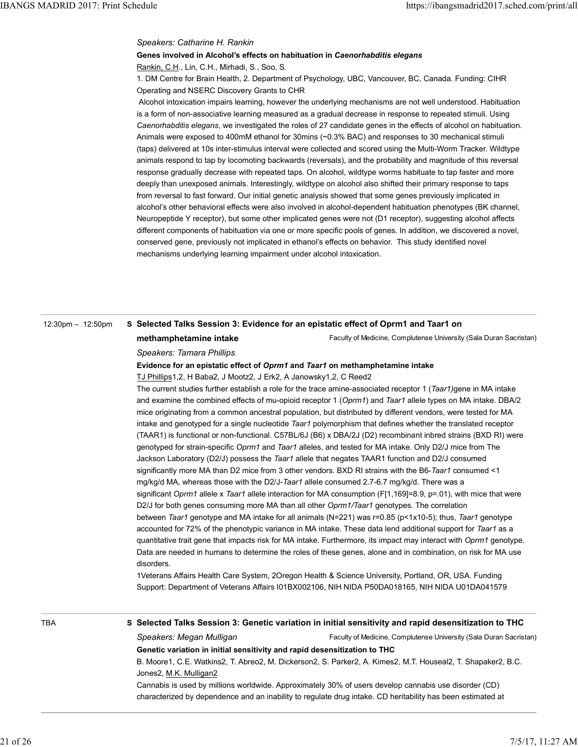# Speakers: Catharine H. Rankin

# Genes involved in Alcohol's effects on habituation in Caenorhabditis elegans Rankin, C.H., Lin, C.H., Mirhadi, S., Soo, S. IBANGS MADRID 2017: Print Schedule<br>
Speakers: Catharine H. Rankin<br>
Genes involved in Alcohol's effects on habituation in Caenorhabditis elegans<br>
Rankin C.H. Lin C.H. Mirhadi S. Soo S.

1. DM Centre for Brain Health, 2. Department of Psychology, UBC, Vancouver, BC, Canada. Funding: CIHR Operating and NSERC Discovery Grants to CHR

 Alcohol intoxication impairs learning, however the underlying mechanisms are not well understood. Habituation is a form of non-associative learning measured as a gradual decrease in response to repeated stimuli. Using Caenorhabditis elegans, we investigated the roles of 27 candidate genes in the effects of alcohol on habituation. Animals were exposed to 400mM ethanol for 30mins (~0.3% BAC) and responses to 30 mechanical stimuli (taps) delivered at 10s inter-stimulus interval were collected and scored using the Multi-Worm Tracker. Wildtype animals respond to tap by locomoting backwards (reversals), and the probability and magnitude of this reversal response gradually decrease with repeated taps. On alcohol, wildtype worms habituate to tap faster and more deeply than unexposed animals. Interestingly, wildtype on alcohol also shifted their primary response to taps from reversal to fast forward. Our initial genetic analysis showed that some genes previously implicated in alcohol's other behavioral effects were also involved in alcohol-dependent habituation phenotypes (BK channel, Neuropeptide Y receptor), but some other implicated genes were not (D1 receptor), suggesting alcohol affects different components of habituation via one or more specific pools of genes. In addition, we discovered a novel, conserved gene, previously not implicated in ethanol's effects on behavior. This study identified novel mechanisms underlying learning impairment under alcohol intoxication.

# 12:30pm – 12:50pm S Selected Talks Session 3: Evidence for an epistatic effect of Oprm1 and Taar1 on

methamphetamine intake

Faculty of Medicine, Complutense University (Sala Duran Sacristan)

Speakers: Tamara Phillips

### Evidence for an epistatic effect of Oprm1 and Taar1 on methamphetamine intake

TJ Phillips1,2, H Baba2, J Mootz2, J Erk2, A Janowsky1,2, C Reed2

The current studies further establish a role for the trace amine-associated receptor 1 (Taar1)gene in MA intake and examine the combined effects of mu-opioid receptor 1 (Oprm1) and Taar1 allele types on MA intake. DBA/2 mice originating from a common ancestral population, but distributed by different vendors, were tested for MA intake and genotyped for a single nucleotide Taar1 polymorphism that defines whether the translated receptor (TAAR1) is functional or non-functional. C57BL/6J (B6) x DBA/2J (D2) recombinant inbred strains (BXD RI) were genotyped for strain-specific Oprm1 and Taar1 alleles, and tested for MA intake. Only D2/J mice from The Jackson Laboratory (D2/J) possess the Taar1 allele that negates TAAR1 function and D2/J consumed significantly more MA than D2 mice from 3 other vendors. BXD RI strains with the B6-Taar1 consumed <1 mg/kg/d MA, whereas those with the D2/J-Taar1 allele consumed 2.7-6.7 mg/kg/d. There was a significant Oprm1 allele x Taar1 allele interaction for MA consumption (F[1,169]=8.9, p=.01), with mice that were D2/J for both genes consuming more MA than all other Oprm1/Taar1 genotypes. The correlation between Taar1 genotype and MA intake for all animals (N=221) was r=0.85 (p<1x10-5); thus, Taar1 genotype accounted for 72% of the phenotypic variance in MA intake. These data lend additional support for Taar1 as a quantitative trait gene that impacts risk for MA intake. Furthermore, its impact may interact with Oprm1 genotype. Data are needed in humans to determine the roles of these genes, alone and in combination, on risk for MA use disorders. 22.0 for both genesic constraints more MA than all other *Commit Taart* genotypes. The correlation<br>
D22.0 for both genes consuming more MA than all other *Commit Taart* genotypes. The correlation<br>
between Taar 1 genotype a

1Veterans Affairs Health Care System, 2Oregon Health & Science University, Portland, OR, USA. Funding Support: Department of Veterans Affairs I01BX002106, NIH NIDA P50DA018165, NIH NIDA U01DA041579

TBA Selected Talks Session 3: Genetic variation in initial sensitivity and rapid desensitization to THC

Faculty of Medicine, Complutense University (Sala Duran Sacristan) Speakers: Megan Mulligan Genetic variation in initial sensitivity and rapid desensitization to THC

B. Moore1, C.E. Watkins2, T. Abreo2, M. Dickerson2, S. Parker2, A. Kimes2, M.T. Houseal2, T. Shapaker2, B.C. Jones2, M.K. Mulligan2

Cannabis is used by millions worldwide. Approximately 30% of users develop cannabis use disorder (CD) characterized by dependence and an inability to regulate drug intake. CD heritability has been estimated at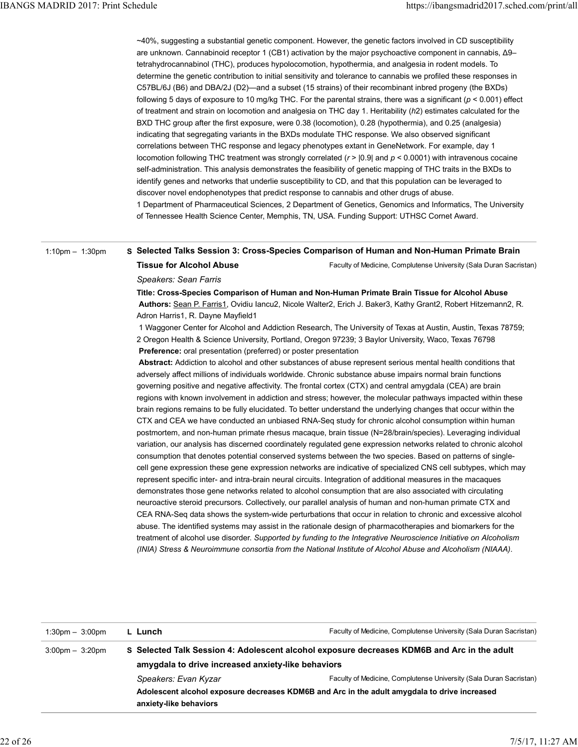~40%, suggesting a substantial genetic component. However, the genetic factors involved in CD susceptibility are unknown. Cannabinoid receptor 1 (CB1) activation by the major psychoactive component in cannabis, Δ9– tetrahydrocannabinol (THC), produces hypolocomotion, hypothermia, and analgesia in rodent models. To determine the genetic contribution to initial sensitivity and tolerance to cannabis we profiled these responses in C57BL/6J (B6) and DBA/2J (D2)—and a subset (15 strains) of their recombinant inbred progeny (the BXDs) following 5 days of exposure to 10 mg/kg THC. For the parental strains, there was a significant ( $p < 0.001$ ) effect of treatment and strain on locomotion and analgesia on THC day 1. Heritability (h2) estimates calculated for the BXD THC group after the first exposure, were 0.38 (locomotion), 0.28 (hypothermia), and 0.25 (analgesia) indicating that segregating variants in the BXDs modulate THC response. We also observed significant correlations between THC response and legacy phenotypes extant in GeneNetwork. For example, day 1 locomotion following THC treatment was strongly correlated ( $r$  >  $|0.9|$  and  $p$  < 0.0001) with intravenous cocaine self-administration. This analysis demonstrates the feasibility of genetic mapping of THC traits in the BXDs to identify genes and networks that underlie susceptibility to CD, and that this population can be leveraged to discover novel endophenotypes that predict response to cannabis and other drugs of abuse. 1 Department of Pharmaceutical Sciences, 2 Department of Genetics, Genomics and Informatics, The University of Tennessee Health Science Center, Memphis, TN, USA. Funding Support: UTHSC Cornet Award. IBANGS MADRID 2017: Print Schedule<br>-40%, suggesting a substantial genetic component. However, the genetic factors involved in CD susceptibility<br>-40%, suggesting a substantial genetic component. However, the genetic factor

### 1:10pm – 1:30pm S Selected Talks Session 3: Cross-Species Comparison of Human and Non-Human Primate Brain

Faculty of Medicine, Complutense University (Sala Duran Sacristan)

Speakers: Sean Farris

Tissue for Alcohol Abuse

Title: Cross-Species Comparison of Human and Non-Human Primate Brain Tissue for Alcohol Abuse Authors: Sean P. Farris1, Ovidiu Iancu2, Nicole Walter2, Erich J. Baker3, Kathy Grant2, Robert Hitzemann2, R. Adron Harris1, R. Dayne Mayfield1

 1 Waggoner Center for Alcohol and Addiction Research, The University of Texas at Austin, Austin, Texas 78759; 2 Oregon Health & Science University, Portland, Oregon 97239; 3 Baylor University, Waco, Texas 76798 Preference: oral presentation (preferred) or poster presentation

Abstract: Addiction to alcohol and other substances of abuse represent serious mental health conditions that adversely affect millions of individuals worldwide. Chronic substance abuse impairs normal brain functions governing positive and negative affectivity. The frontal cortex (CTX) and central amygdala (CEA) are brain regions with known involvement in addiction and stress; however, the molecular pathways impacted within these brain regions remains to be fully elucidated. To better understand the underlying changes that occur within the CTX and CEA we have conducted an unbiased RNA-Seq study for chronic alcohol consumption within human postmortem, and non-human primate rhesus macaque, brain tissue (N=28/brain/species). Leveraging individual variation, our analysis has discerned coordinately regulated gene expression networks related to chronic alcohol consumption that denotes potential conserved systems between the two species. Based on patterns of singlecell gene expression these gene expression networks are indicative of specialized CNS cell subtypes, which may represent specific inter- and intra-brain neural circuits. Integration of additional measures in the macaques demonstrates those gene networks related to alcohol consumption that are also associated with circulating neuroactive steroid precursors. Collectively, our parallel analysis of human and non-human primate CTX and CEA RNA-Seq data shows the system-wide perturbations that occur in relation to chronic and excessive alcohol abuse. The identified systems may assist in the rationale design of pharmacotherapies and biomarkers for the treatment of alcohol use disorder. Supported by funding to the Integrative Neuroscience Initiative on Alcoholism (INIA) Stress & Neuroimmune consortia from the National Institute of Alcohol Abuse and Alcoholism (NIAAA).

|                                   |                                                    | neuroactive steroid precursors. Collectively, our parallel analysis of human and non-human primate CTX and<br>CEA RNA-Seq data shows the system-wide perturbations that occur in relation to chronic and excessive alcohol<br>abuse. The identified systems may assist in the rationale design of pharmacotherapies and biomarkers for the<br>treatment of alcohol use disorder. Supported by funding to the Integrative Neuroscience Initiative on Alcoholism<br>(INIA) Stress & Neuroimmune consortia from the National Institute of Alcohol Abuse and Alcoholism (NIAAA). |
|-----------------------------------|----------------------------------------------------|------------------------------------------------------------------------------------------------------------------------------------------------------------------------------------------------------------------------------------------------------------------------------------------------------------------------------------------------------------------------------------------------------------------------------------------------------------------------------------------------------------------------------------------------------------------------------|
| $1:30 \text{pm} - 3:00 \text{pm}$ | L Lunch                                            | Faculty of Medicine, Complutense University (Sala Duran Sacristan)                                                                                                                                                                                                                                                                                                                                                                                                                                                                                                           |
| $3:00 \text{pm} - 3:20 \text{pm}$ |                                                    | S Selected Talk Session 4: Adolescent alcohol exposure decreases KDM6B and Arc in the adult                                                                                                                                                                                                                                                                                                                                                                                                                                                                                  |
|                                   | amygdala to drive increased anxiety-like behaviors |                                                                                                                                                                                                                                                                                                                                                                                                                                                                                                                                                                              |
|                                   | Speakers: Evan Kyzar                               | Faculty of Medicine, Complutense University (Sala Duran Sacristan)                                                                                                                                                                                                                                                                                                                                                                                                                                                                                                           |
|                                   | anxiety-like behaviors                             | Adolescent alcohol exposure decreases KDM6B and Arc in the adult amygdala to drive increased                                                                                                                                                                                                                                                                                                                                                                                                                                                                                 |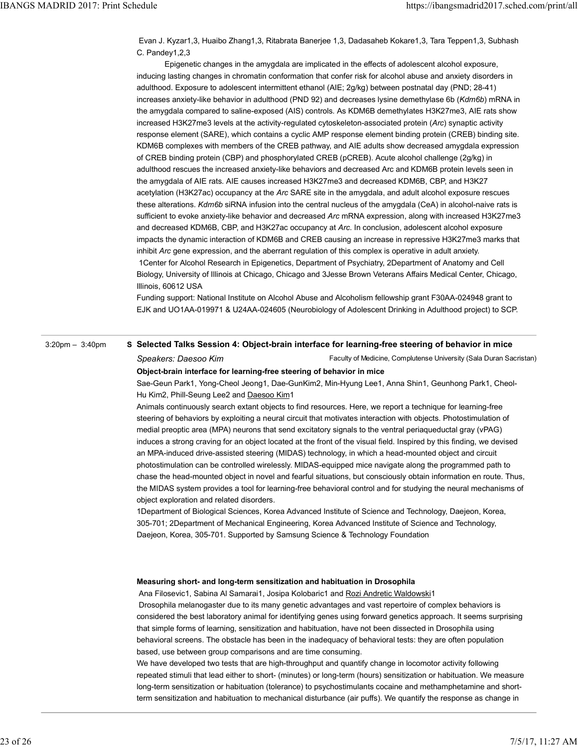Evan J. Kyzar1,3, Huaibo Zhang1,3, Ritabrata Banerjee 1,3, Dadasaheb Kokare1,3, Tara Teppen1,3, Subhash C. Pandey1,2,3 IBANGS MADRID 2017: Print Schedule<br>Evan J. Kyzar1,3, Huaibo Zhang1,3, Ritabrata Banerjee 1,3, Dadasaheb Kokare1,3, Tara Teppen1,3, Subhash<br>C. Pandey1,2,3<br>Epigenetic changes in the amygdala are implicated in the effects of

 Epigenetic changes in the amygdala are implicated in the effects of adolescent alcohol exposure, inducing lasting changes in chromatin conformation that confer risk for alcohol abuse and anxiety disorders in adulthood. Exposure to adolescent intermittent ethanol (AIE; 2g/kg) between postnatal day (PND; 28-41) increases anxiety-like behavior in adulthood (PND 92) and decreases lysine demethylase 6b (Kdm6b) mRNA in the amygdala compared to saline-exposed (AIS) controls. As KDM6B demethylates H3K27me3, AIE rats show increased H3K27me3 levels at the activity-regulated cytoskeleton-associated protein (Arc) synaptic activity response element (SARE), which contains a cyclic AMP response element binding protein (CREB) binding site. KDM6B complexes with members of the CREB pathway, and AIE adults show decreased amygdala expression of CREB binding protein (CBP) and phosphorylated CREB (pCREB). Acute alcohol challenge (2g/kg) in adulthood rescues the increased anxiety-like behaviors and decreased Arc and KDM6B protein levels seen in the amygdala of AIE rats. AIE causes increased H3K27me3 and decreased KDM6B, CBP, and H3K27 acetylation (H3K27ac) occupancy at the Arc SARE site in the amygdala, and adult alcohol exposure rescues these alterations. Kdm6b siRNA infusion into the central nucleus of the amygdala (CeA) in alcohol-naive rats is sufficient to evoke anxiety-like behavior and decreased Arc mRNA expression, along with increased H3K27me3 and decreased KDM6B, CBP, and H3K27ac occupancy at Arc. In conclusion, adolescent alcohol exposure impacts the dynamic interaction of KDM6B and CREB causing an increase in repressive H3K27me3 marks that inhibit Arc gene expression, and the aberrant regulation of this complex is operative in adult anxiety. 1Center for Alcohol Research in Epigenetics, Department of Psychiatry, 2Department of Anatomy and Cell Biology, University of Illinois at Chicago, Chicago and 3Jesse Brown Veterans Affairs Medical Center, Chicago, Illinois, 60612 USA

Funding support: National Institute on Alcohol Abuse and Alcoholism fellowship grant F30AA-024948 grant to EJK and UO1AA-019971 & U24AA-024605 (Neurobiology of Adolescent Drinking in Adulthood project) to SCP.

# 3:20pm – 3:40pm S Selected Talks Session 4: Object-brain interface for learning-free steering of behavior in mice

Faculty of Medicine, Complutense University (Sala Duran Sacristan) Speakers: Daesoo Kim

Object-brain interface for learning-free steering of behavior in mice

Sae-Geun Park1, Yong-Cheol Jeong1, Dae-GunKim2, Min-Hyung Lee1, Anna Shin1, Geunhong Park1, Cheol-Hu Kim2, Phill-Seung Lee2 and Daesoo Kim1

Animals continuously search extant objects to find resources. Here, we report a technique for learning-free steering of behaviors by exploiting a neural circuit that motivates interaction with objects. Photostimulation of medial preoptic area (MPA) neurons that send excitatory signals to the ventral periaqueductal gray (vPAG) induces a strong craving for an object located at the front of the visual field. Inspired by this finding, we devised an MPA-induced drive-assisted steering (MIDAS) technology, in which a head-mounted object and circuit photostimulation can be controlled wirelessly. MIDAS-equipped mice navigate along the programmed path to chase the head-mounted object in novel and fearful situations, but consciously obtain information en route. Thus, the MIDAS system provides a tool for learning-free behavioral control and for studying the neural mechanisms of object exploration and related disorders.

1Department of Biological Sciences, Korea Advanced Institute of Science and Technology, Daejeon, Korea, 305-701; 2Department of Mechanical Engineering, Korea Advanced Institute of Science and Technology, Daejeon, Korea, 305-701. Supported by Samsung Science & Technology Foundation

### Measuring short- and long-term sensitization and habituation in Drosophila

Ana Filosevic1, Sabina Al Samarai1, Josipa Kolobaric1 and <u>Rozi Andretic Waldowski</u>1 Drosophila melanogaster due to its many genetic advantages and vast repertoire of complex behaviors is considered the best laboratory animal for identifying genes using forward genetics approach. It seems surprising that simple forms of learning, sensitization and habituation, have not been dissected in Drosophila using behavioral screens. The obstacle has been in the inadequacy of behavioral tests: they are often population based, use between group comparisons and are time consuming. bled tesploration and related sisorders.<br>
1Department of Biological Sciences, Korea Advanced Institute of Science and Technology, Daejeon, Korea,<br>
305-701: 2Department of Mechanical Engineering, Korea Advanced Institute of

We have developed two tests that are high-throughput and quantify change in locomotor activity following repeated stimuli that lead either to short- (minutes) or long-term (hours) sensitization or habituation. We measure long-term sensitization or habituation (tolerance) to psychostimulants cocaine and methamphetamine and shortterm sensitization and habituation to mechanical disturbance (air puffs). We quantify the response as change in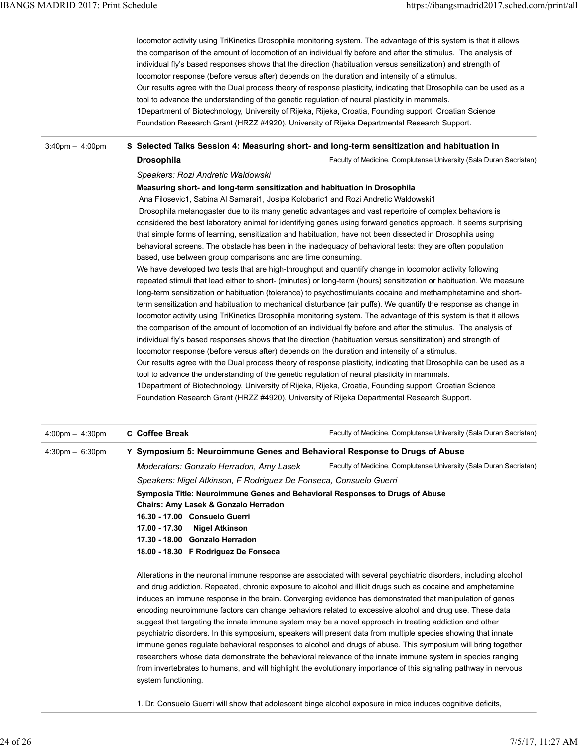locomotor activity using TriKinetics Drosophila monitoring system. The advantage of this system is that it allows the comparison of the amount of locomotion of an individual fly before and after the stimulus. The analysis of individual fly's based responses shows that the direction (habituation versus sensitization) and strength of locomotor response (before versus after) depends on the duration and intensity of a stimulus. Our results agree with the Dual process theory of response plasticity, indicating that Drosophila can be used as a tool to advance the understanding of the genetic regulation of neural plasticity in mammals. 1Department of Biotechnology, University of Rijeka, Rijeka, Croatia, Founding support: Croatian Science Foundation Research Grant (HRZZ #4920), University of Rijeka Departmental Research Support. IBANGS MADRID 2017: Print Schedule<br>locomotor activity using TriKinetics Drosophila monitoring system. The advantage of this system is that it allows<br>the comparison of the amount of locomotion of an individual fly before an

### 3:40pm – 4:00pm S Selected Talks Session 4: Measuring short- and long-term sensitization and habituation in

Faculty of Medicine, Complutense University (Sala Duran Sacristan)

## Speakers: Rozi Andretic Waldowski

Drosophila

### Measuring short- and long-term sensitization and habituation in Drosophila

Ana Filosevic1, Sabina Al Samarai1, Josipa Kolobaric1 and Rozi Andretic Waldowski1

 Drosophila melanogaster due to its many genetic advantages and vast repertoire of complex behaviors is considered the best laboratory animal for identifying genes using forward genetics approach. It seems surprising that simple forms of learning, sensitization and habituation, have not been dissected in Drosophila using behavioral screens. The obstacle has been in the inadequacy of behavioral tests: they are often population based, use between group comparisons and are time consuming.

We have developed two tests that are high-throughput and quantify change in locomotor activity following repeated stimuli that lead either to short- (minutes) or long-term (hours) sensitization or habituation. We measure long-term sensitization or habituation (tolerance) to psychostimulants cocaine and methamphetamine and shortterm sensitization and habituation to mechanical disturbance (air puffs). We quantify the response as change in locomotor activity using TriKinetics Drosophila monitoring system. The advantage of this system is that it allows the comparison of the amount of locomotion of an individual fly before and after the stimulus. The analysis of individual fly's based responses shows that the direction (habituation versus sensitization) and strength of locomotor response (before versus after) depends on the duration and intensity of a stimulus.

Our results agree with the Dual process theory of response plasticity, indicating that Drosophila can be used as a tool to advance the understanding of the genetic regulation of neural plasticity in mammals.

1Department of Biotechnology, University of Rijeka, Rijeka, Croatia, Founding support: Croatian Science Foundation Research Grant (HRZZ #4920), University of Rijeka Departmental Research Support.

| $4:00 \text{pm} - 4:30 \text{pm}$ | <b>C</b> Coffee Break                                                                                                                                                                                                           | Faculty of Medicine, Complutense University (Sala Duran Sacristan)                                               |  |
|-----------------------------------|---------------------------------------------------------------------------------------------------------------------------------------------------------------------------------------------------------------------------------|------------------------------------------------------------------------------------------------------------------|--|
| 4:30pm - 6:30pm                   | Y Symposium 5: Neuroimmune Genes and Behavioral Response to Drugs of Abuse                                                                                                                                                      |                                                                                                                  |  |
|                                   | Moderators: Gonzalo Herradon, Amy Lasek                                                                                                                                                                                         | Faculty of Medicine, Complutense University (Sala Duran Sacristan)                                               |  |
|                                   | Speakers: Nigel Atkinson, F Rodriguez De Fonseca, Consuelo Guerri                                                                                                                                                               |                                                                                                                  |  |
|                                   | Symposia Title: Neuroimmune Genes and Behavioral Responses to Drugs of Abuse                                                                                                                                                    |                                                                                                                  |  |
|                                   | <b>Chairs: Amy Lasek &amp; Gonzalo Herradon</b>                                                                                                                                                                                 |                                                                                                                  |  |
|                                   | 16.30 - 17.00 Consuelo Guerri                                                                                                                                                                                                   |                                                                                                                  |  |
|                                   | 17.00 - 17.30 Nigel Atkinson                                                                                                                                                                                                    |                                                                                                                  |  |
|                                   | 17.30 - 18.00 Gonzalo Herradon                                                                                                                                                                                                  |                                                                                                                  |  |
|                                   | 18.00 - 18.30 F Rodriguez De Fonseca                                                                                                                                                                                            |                                                                                                                  |  |
|                                   |                                                                                                                                                                                                                                 | Alterations in the neuronal immune response are associated with several psychiatric disorders, including alcohol |  |
|                                   |                                                                                                                                                                                                                                 | and drug addiction. Repeated, chronic exposure to alcohol and illicit drugs such as cocaine and amphetamine      |  |
|                                   | induces an immune response in the brain. Converging evidence has demonstrated that manipulation of genes                                                                                                                        |                                                                                                                  |  |
|                                   | encoding neuroimmune factors can change behaviors related to excessive alcohol and drug use. These data                                                                                                                         |                                                                                                                  |  |
|                                   | suggest that targeting the innate immune system may be a novel approach in treating addiction and other                                                                                                                         |                                                                                                                  |  |
|                                   |                                                                                                                                                                                                                                 | psychiatric disorders. In this symposium, speakers will present data from multiple species showing that innate   |  |
|                                   |                                                                                                                                                                                                                                 | immune genes regulate behavioral responses to alcohol and drugs of abuse. This symposium will bring together     |  |
|                                   | researchers whose data demonstrate the behavioral relevance of the innate immune system in species ranging<br>from invertebrates to humans, and will highlight the evolutionary importance of this signaling pathway in nervous |                                                                                                                  |  |
|                                   | system functioning.                                                                                                                                                                                                             |                                                                                                                  |  |
|                                   |                                                                                                                                                                                                                                 | 1. Dr. Consuelo Guerri will show that adolescent binge alcohol exposure in mice induces cognitive deficits,      |  |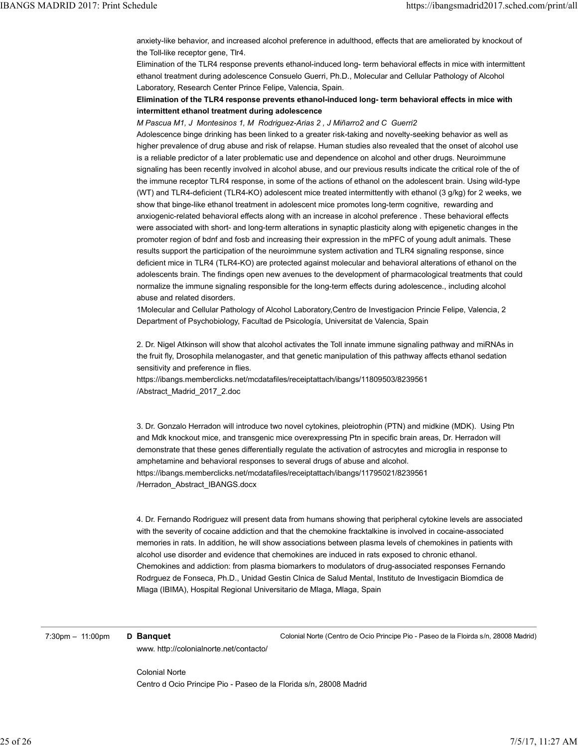anxiety-like behavior, and increased alcohol preference in adulthood, effects that are ameliorated by knockout of the Toll-like receptor gene, Tlr4. IBANGS MADRID 2017: Print Schedule<br>anxiety-like behavior, and increased alcohol preference in adulthood, effects that are ameliorated by knockout of<br>the Toll-like receptor gene, Tlr4.<br>Elimination of the TLR4 response preve

Elimination of the TLR4 response prevents ethanol-induced long- term behavioral effects in mice with intermittent ethanol treatment during adolescence Consuelo Guerri, Ph.D., Molecular and Cellular Pathology of Alcohol Laboratory, Research Center Prince Felipe, Valencia, Spain.

# Elimination of the TLR4 response prevents ethanol-induced long- term behavioral effects in mice with intermittent ethanol treatment during adolescence

M Pascua M1, J Montesinos 1, M Rodriguez-Arias 2 , J Miñarro2 and C Guerri2

Adolescence binge drinking has been linked to a greater risk-taking and novelty-seeking behavior as well as higher prevalence of drug abuse and risk of relapse. Human studies also revealed that the onset of alcohol use is a reliable predictor of a later problematic use and dependence on alcohol and other drugs. Neuroimmune signaling has been recently involved in alcohol abuse, and our previous results indicate the critical role of the of the immune receptor TLR4 response, in some of the actions of ethanol on the adolescent brain. Using wild-type (WT) and TLR4-deficient (TLR4-KO) adolescent mice treated intermittently with ethanol (3 g/kg) for 2 weeks, we show that binge-like ethanol treatment in adolescent mice promotes long-term cognitive, rewarding and anxiogenic-related behavioral effects along with an increase in alcohol preference . These behavioral effects were associated with short- and long-term alterations in synaptic plasticity along with epigenetic changes in the promoter region of bdnf and fosb and increasing their expression in the mPFC of young adult animals. These results support the participation of the neuroimmune system activation and TLR4 signaling response, since deficient mice in TLR4 (TLR4-KO) are protected against molecular and behavioral alterations of ethanol on the adolescents brain. The findings open new avenues to the development of pharmacological treatments that could normalize the immune signaling responsible for the long-term effects during adolescence., including alcohol abuse and related disorders.

1Molecular and Cellular Pathology of Alcohol Laboratory,Centro de Investigacion Princie Felipe, Valencia, 2 Department of Psychobiology, Facultad de Psicología, Universitat de Valencia, Spain

2. Dr. Nigel Atkinson will show that alcohol activates the Toll innate immune signaling pathway and miRNAs in the fruit fly, Drosophila melanogaster, and that genetic manipulation of this pathway affects ethanol sedation sensitivity and preference in flies.

https://ibangs.memberclicks.net/mcdatafiles/receiptattach/ibangs/11809503/8239561 /Abstract\_Madrid\_2017\_2.doc

3. Dr. Gonzalo Herradon will introduce two novel cytokines, pleiotrophin (PTN) and midkine (MDK). Using Ptn and Mdk knockout mice, and transgenic mice overexpressing Ptn in specific brain areas, Dr. Herradon will demonstrate that these genes differentially regulate the activation of astrocytes and microglia in response to amphetamine and behavioral responses to several drugs of abuse and alcohol. https://ibangs.memberclicks.net/mcdatafiles/receiptattach/ibangs/11795021/8239561 /Herradon\_Abstract\_IBANGS.docx

4. Dr. Fernando Rodriguez will present data from humans showing that peripheral cytokine levels are associated with the severity of cocaine addiction and that the chemokine fracktalkine is involved in cocaine-associated memories in rats. In addition, he will show associations between plasma levels of chemokines in patients with alcohol use disorder and evidence that chemokines are induced in rats exposed to chronic ethanol. Chemokines and addiction: from plasma biomarkers to modulators of drug-associated responses Fernando Rodrguez de Fonseca, Ph.D., Unidad Gestin Clnica de Salud Mental, Instituto de Investigacin Biomdica de Mlaga (IBIMA), Hospital Regional Universitario de Mlaga, Mlaga, Spain 4. Dr. Fernando Rodriguez will present data from humans showing that peripheral cytokine levels are associated<br>with the severity of cocaine addiction and that the chemokine fracktalkine is involved in cocaine-associated<br>me

7:30pm - 11:00pm **D Banquet Colonial Norte (Centro de Ocio Principe Pio - Paseo de la Floirda s/n, 28008 Madrid)** www. http://colonialnorte.net/contacto/

> Colonial Norte Centro d Ocio Principe Pio - Paseo de la Florida s/n, 28008 Madrid